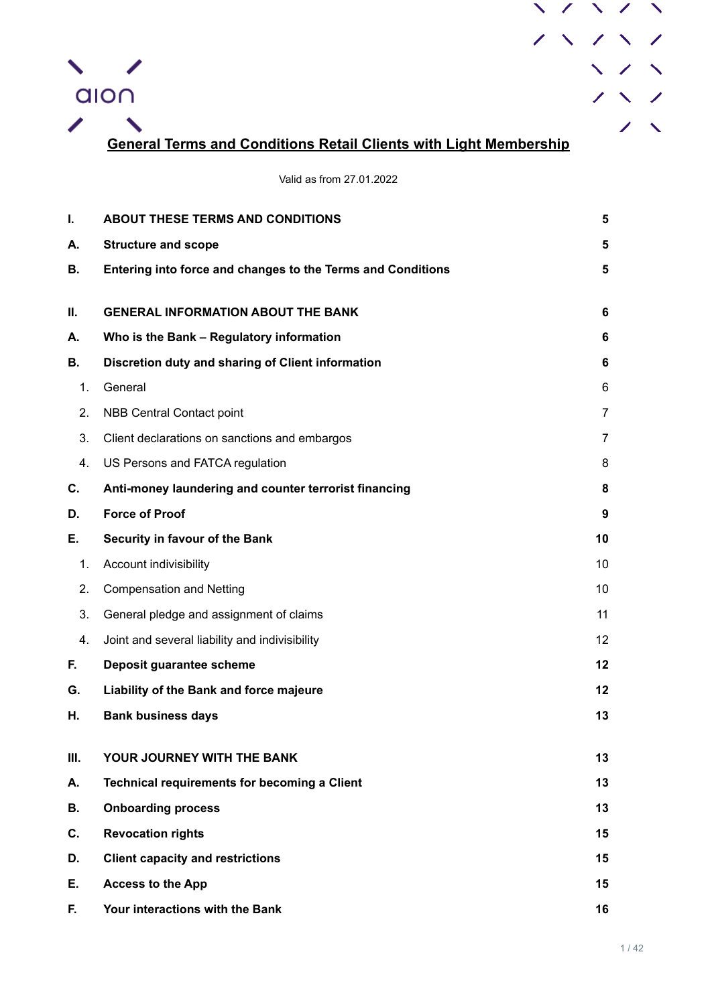



# **General Terms and Conditions Retail Clients with Light Membership**

Valid as from 27.01.2022

| I. | <b>ABOUT THESE TERMS AND CONDITIONS</b>                     | 5              |
|----|-------------------------------------------------------------|----------------|
| А. | <b>Structure and scope</b>                                  | 5              |
| В. | Entering into force and changes to the Terms and Conditions | 5              |
| Ш. | <b>GENERAL INFORMATION ABOUT THE BANK</b>                   | 6              |
| А. | Who is the Bank - Regulatory information                    | 6              |
| В. | Discretion duty and sharing of Client information           | 6              |
| 1. | General                                                     | 6              |
| 2. | <b>NBB Central Contact point</b>                            | $\overline{7}$ |
| 3. | Client declarations on sanctions and embargos               | $\overline{7}$ |
| 4. | US Persons and FATCA regulation                             | 8              |
| C. | Anti-money laundering and counter terrorist financing       | 8              |
| D. | <b>Force of Proof</b>                                       | 9              |
| Е. | Security in favour of the Bank                              | 10             |
| 1. | Account indivisibility                                      | 10             |
| 2. | <b>Compensation and Netting</b>                             | 10             |
| 3. | General pledge and assignment of claims                     | 11             |
| 4. | Joint and several liability and indivisibility              | 12             |
| F. | Deposit guarantee scheme                                    | 12             |
| G. | Liability of the Bank and force majeure                     | 12             |
| Н. | <b>Bank business days</b>                                   | 13             |
| Ш. | YOUR JOURNEY WITH THE BANK                                  | 13             |
| А. | <b>Technical requirements for becoming a Client</b>         | 13             |
| В. | <b>Onboarding process</b>                                   | 13             |
| C. | <b>Revocation rights</b>                                    | 15             |
| D. | <b>Client capacity and restrictions</b>                     | 15             |
| Е. | <b>Access to the App</b>                                    | 15             |
| F. | Your interactions with the Bank                             | 16             |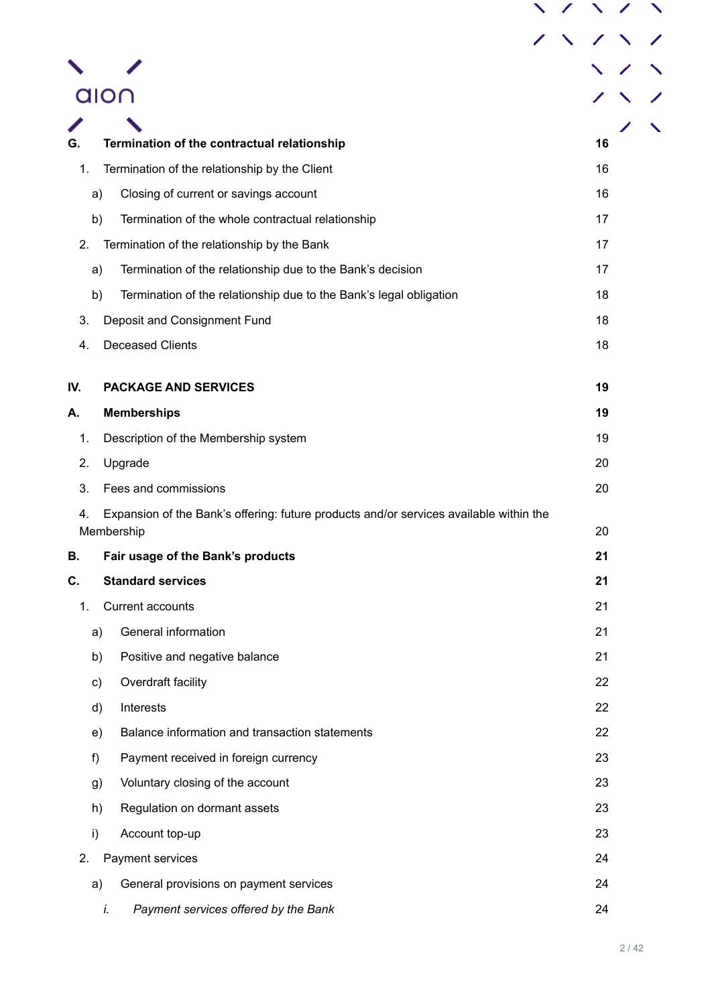|     | alo∩                                                                                                 |  |    |  |
|-----|------------------------------------------------------------------------------------------------------|--|----|--|
|     |                                                                                                      |  |    |  |
| G.  | Termination of the contractual relationship                                                          |  | 16 |  |
| 1.  | Termination of the relationship by the Client                                                        |  | 16 |  |
|     | Closing of current or savings account<br>a)                                                          |  | 16 |  |
| b)  | Termination of the whole contractual relationship                                                    |  | 17 |  |
| 2.  | Termination of the relationship by the Bank                                                          |  | 17 |  |
| a)  | Termination of the relationship due to the Bank's decision                                           |  | 17 |  |
| b)  | Termination of the relationship due to the Bank's legal obligation                                   |  | 18 |  |
| 3.  | Deposit and Consignment Fund                                                                         |  | 18 |  |
| 4.  | <b>Deceased Clients</b>                                                                              |  | 18 |  |
|     |                                                                                                      |  |    |  |
| IV. | <b>PACKAGE AND SERVICES</b>                                                                          |  | 19 |  |
| Α.  | <b>Memberships</b>                                                                                   |  | 19 |  |
| 1.  | Description of the Membership system                                                                 |  | 19 |  |
| 2.  | Upgrade                                                                                              |  | 20 |  |
| 3.  | Fees and commissions                                                                                 |  | 20 |  |
| 4.  | Expansion of the Bank's offering: future products and/or services available within the<br>Membership |  | 20 |  |
| В.  | Fair usage of the Bank's products                                                                    |  | 21 |  |
| C.  | <b>Standard services</b>                                                                             |  | 21 |  |
| 1.  | Current accounts                                                                                     |  | 21 |  |
|     | General information<br>a)                                                                            |  | 21 |  |
|     | Positive and negative balance<br>b)                                                                  |  | 21 |  |
| c)  | Overdraft facility                                                                                   |  | 22 |  |
|     | Interests<br>d)                                                                                      |  | 22 |  |
|     | Balance information and transaction statements<br>e)                                                 |  | 22 |  |
| f)  | Payment received in foreign currency                                                                 |  | 23 |  |
|     | Voluntary closing of the account<br>g)                                                               |  | 23 |  |
|     | Regulation on dormant assets<br>h)                                                                   |  | 23 |  |
| i)  | Account top-up                                                                                       |  | 23 |  |
| 2.  | Payment services                                                                                     |  | 24 |  |
|     | General provisions on payment services<br>a)                                                         |  | 24 |  |
|     | İ.<br>Payment services offered by the Bank                                                           |  | 24 |  |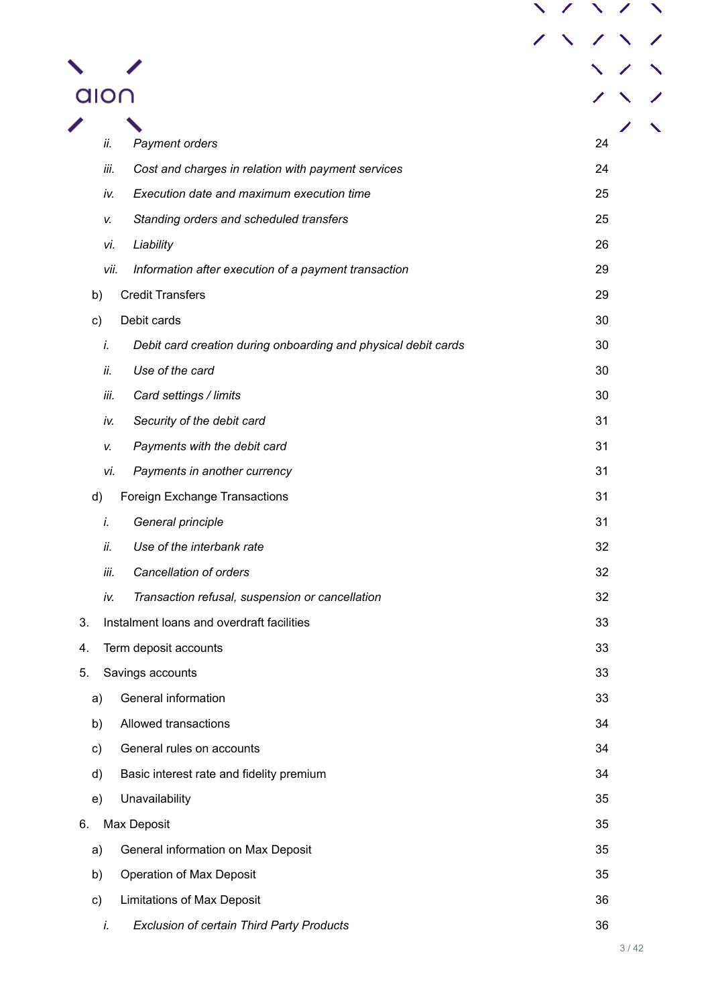| alor          |                                                                |  |    |  |
|---------------|----------------------------------------------------------------|--|----|--|
|               |                                                                |  |    |  |
| ii.           | Payment orders                                                 |  | 24 |  |
| iij.          | Cost and charges in relation with payment services             |  | 24 |  |
| iv.           | Execution date and maximum execution time                      |  | 25 |  |
| V.            | Standing orders and scheduled transfers                        |  | 25 |  |
| vi.           | Liability                                                      |  | 26 |  |
| vii.          | Information after execution of a payment transaction           |  | 29 |  |
| b)            | <b>Credit Transfers</b>                                        |  | 29 |  |
| $\mathsf{c})$ | Debit cards                                                    |  | 30 |  |
| İ.            | Debit card creation during onboarding and physical debit cards |  | 30 |  |
| ii.           | Use of the card                                                |  | 30 |  |
| iii.          | Card settings / limits                                         |  | 30 |  |
| iv.           | Security of the debit card                                     |  | 31 |  |
| V.            | Payments with the debit card                                   |  | 31 |  |
| vi.           | Payments in another currency                                   |  | 31 |  |
| d)            | Foreign Exchange Transactions                                  |  | 31 |  |
| İ.            | General principle                                              |  | 31 |  |
| ii.           | Use of the interbank rate                                      |  | 32 |  |
| iii.          | Cancellation of orders                                         |  | 32 |  |
| iv.           | Transaction refusal, suspension or cancellation                |  | 32 |  |
| 3.            | Instalment loans and overdraft facilities                      |  | 33 |  |
| 4.            | Term deposit accounts                                          |  | 33 |  |
| 5.            | Savings accounts                                               |  | 33 |  |
| a)            | General information                                            |  | 33 |  |
| b)            | Allowed transactions                                           |  | 34 |  |
| $\mathsf{c})$ | General rules on accounts                                      |  | 34 |  |
| d)            | Basic interest rate and fidelity premium                       |  | 34 |  |
| e)            | Unavailability                                                 |  | 35 |  |
| 6.            | Max Deposit                                                    |  | 35 |  |
| a)            | General information on Max Deposit                             |  | 35 |  |
| b)            | Operation of Max Deposit                                       |  | 35 |  |
| $\mathsf{c})$ | <b>Limitations of Max Deposit</b>                              |  | 36 |  |
| İ.            | <b>Exclusion of certain Third Party Products</b>               |  | 36 |  |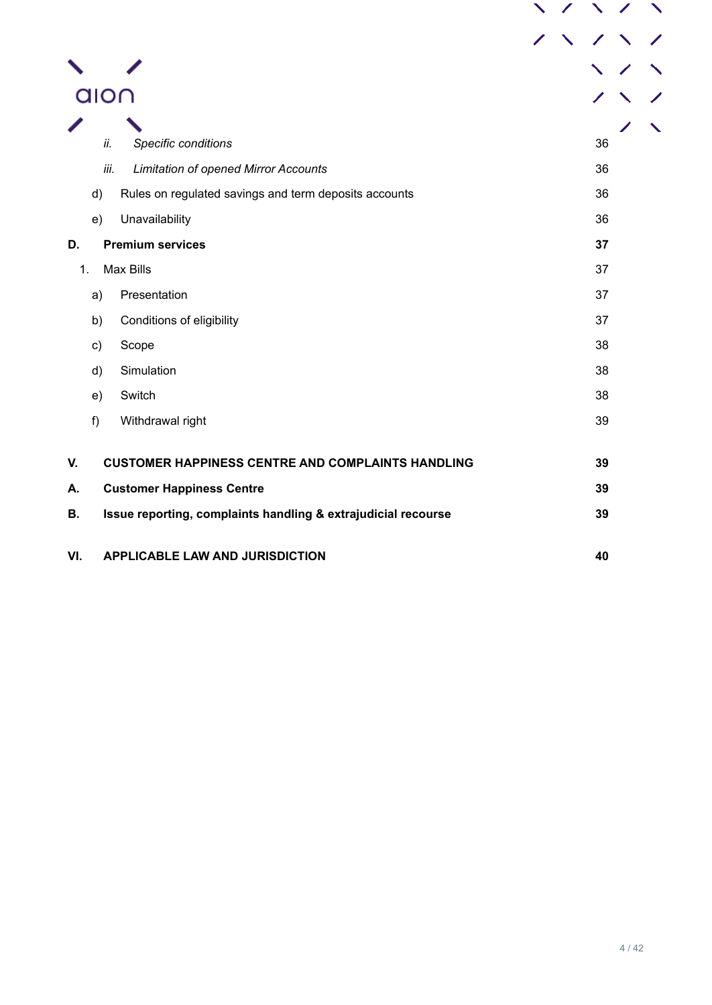|           | alon                   |                                                               |  |  |    |  |
|-----------|------------------------|---------------------------------------------------------------|--|--|----|--|
|           |                        |                                                               |  |  |    |  |
|           | ii.                    | Specific conditions                                           |  |  | 36 |  |
|           | iii.                   | <b>Limitation of opened Mirror Accounts</b>                   |  |  | 36 |  |
|           | d)                     | Rules on regulated savings and term deposits accounts         |  |  | 36 |  |
|           | e)                     | Unavailability                                                |  |  | 36 |  |
| D.        |                        | <b>Premium services</b>                                       |  |  | 37 |  |
|           | <b>Max Bills</b><br>1. |                                                               |  |  | 37 |  |
|           | a)                     | Presentation                                                  |  |  | 37 |  |
|           | b)                     | Conditions of eligibility                                     |  |  | 37 |  |
|           | $\mathsf{c})$          | Scope                                                         |  |  | 38 |  |
|           | d)                     | Simulation                                                    |  |  | 38 |  |
|           | e)                     | Switch                                                        |  |  | 38 |  |
|           | f                      | Withdrawal right                                              |  |  | 39 |  |
| V.        |                        | <b>CUSTOMER HAPPINESS CENTRE AND COMPLAINTS HANDLING</b>      |  |  | 39 |  |
| А.        |                        | <b>Customer Happiness Centre</b><br>39                        |  |  |    |  |
| <b>B.</b> |                        | Issue reporting, complaints handling & extrajudicial recourse |  |  | 39 |  |
| VI.       |                        | APPLICABLE LAW AND JURISDICTION                               |  |  | 40 |  |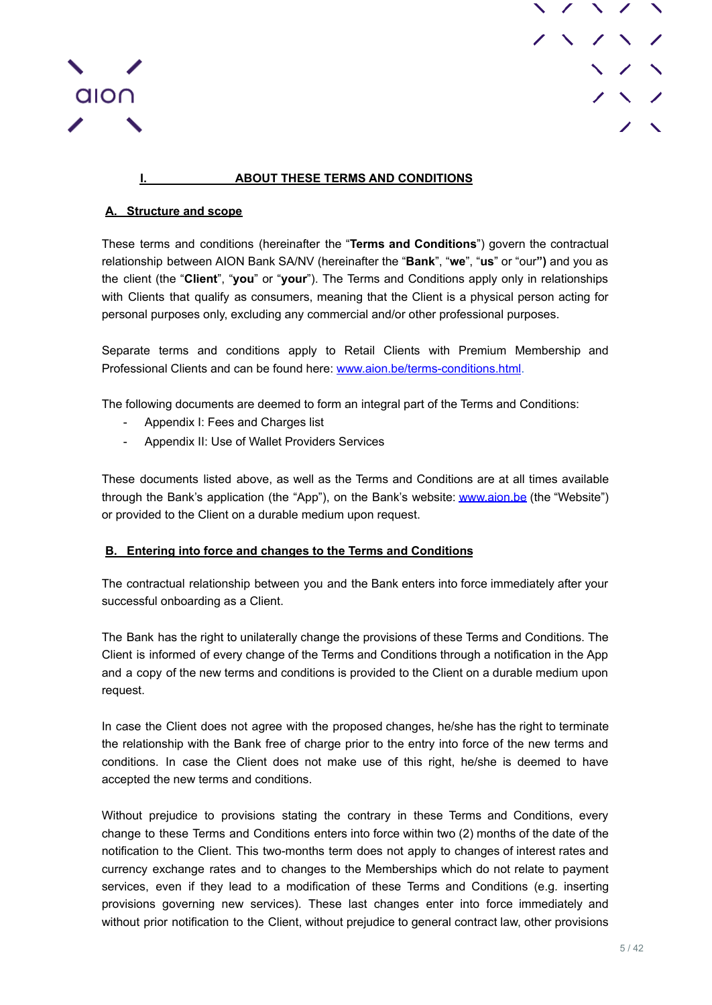



## **I. ABOUT THESE TERMS AND CONDITIONS**

#### <span id="page-4-1"></span><span id="page-4-0"></span>**A. Structure and scope**

These terms and conditions (hereinafter the "**Terms and Conditions**") govern the contractual relationship between AION Bank SA/NV (hereinafter the "**Bank**", "**we**", "**us**" or "our**")** and you as the client (the "**Client**", "**you**" or "**your**"). The Terms and Conditions apply only in relationships with Clients that qualify as consumers, meaning that the Client is a physical person acting for personal purposes only, excluding any commercial and/or other professional purposes.

Separate terms and conditions apply to Retail Clients with Premium Membership and Professional Clients and can be found here: [www.aion.be/terms-conditions.html](http://www.aion.be/terms-conditions.html).

The following documents are deemed to form an integral part of the Terms and Conditions:

- Appendix I: Fees and Charges list
- Appendix II: Use of Wallet Providers Services

These documents listed above, as well as the Terms and Conditions are at all times available through the Bank's application (the "App"), on the Bank's website: [www.aion.be](http://www.aion.be) (the "Website") or provided to the Client on a durable medium upon request.

#### <span id="page-4-2"></span>**B. Entering into force and changes to the Terms and Conditions**

The contractual relationship between you and the Bank enters into force immediately after your successful onboarding as a Client.

The Bank has the right to unilaterally change the provisions of these Terms and Conditions. The Client is informed of every change of the Terms and Conditions through a notification in the App and a copy of the new terms and conditions is provided to the Client on a durable medium upon request.

In case the Client does not agree with the proposed changes, he/she has the right to terminate the relationship with the Bank free of charge prior to the entry into force of the new terms and conditions. In case the Client does not make use of this right, he/she is deemed to have accepted the new terms and conditions.

Without prejudice to provisions stating the contrary in these Terms and Conditions, every change to these Terms and Conditions enters into force within two (2) months of the date of the notification to the Client. This two-months term does not apply to changes of interest rates and currency exchange rates and to changes to the Memberships which do not relate to payment services, even if they lead to a modification of these Terms and Conditions (e.g. inserting provisions governing new services). These last changes enter into force immediately and without prior notification to the Client, without prejudice to general contract law, other provisions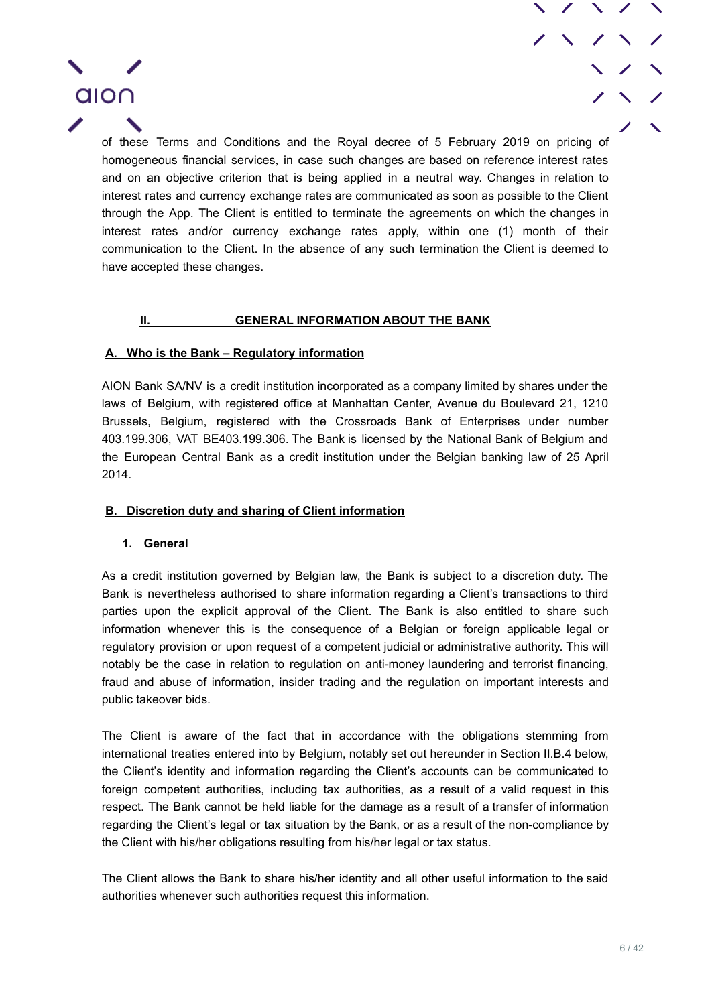of these Terms and Conditions and the Royal decree of 5 February 2019 on pricing of homogeneous financial services, in case such changes are based on reference interest rates and on an objective criterion that is being applied in a neutral way. Changes in relation to interest rates and currency exchange rates are communicated as soon as possible to the Client through the App. The Client is entitled to terminate the agreements on which the changes in interest rates and/or currency exchange rates apply, within one (1) month of their communication to the Client. In the absence of any such termination the Client is deemed to have accepted these changes.

## **II. GENERAL INFORMATION ABOUT THE BANK**

## <span id="page-5-1"></span><span id="page-5-0"></span>**A. Who is the Bank – Regulatory information**

AION Bank SA/NV is a credit institution incorporated as a company limited by shares under the laws of Belgium, with registered office at Manhattan Center, Avenue du Boulevard 21, 1210 Brussels, Belgium, registered with the Crossroads Bank of Enterprises under number 403.199.306, VAT BE403.199.306. The Bank is licensed by the National Bank of Belgium and the European Central Bank as a credit institution under the Belgian banking law of 25 April 2014.

## <span id="page-5-2"></span>**B. Discretion duty and sharing of Client information**

#### **1. General**

aion

<span id="page-5-3"></span>As a credit institution governed by Belgian law, the Bank is subject to a discretion duty. The Bank is nevertheless authorised to share information regarding a Client's transactions to third parties upon the explicit approval of the Client. The Bank is also entitled to share such information whenever this is the consequence of a Belgian or foreign applicable legal or regulatory provision or upon request of a competent judicial or administrative authority. This will notably be the case in relation to regulation on anti-money laundering and terrorist financing, fraud and abuse of information, insider trading and the regulation on important interests and public takeover bids.

The Client is aware of the fact that in accordance with the obligations stemming from international treaties entered into by Belgium, notably set out hereunder in Section II.B.4 below, the Client's identity and information regarding the Client's accounts can be communicated to foreign competent authorities, including tax authorities, as a result of a valid request in this respect. The Bank cannot be held liable for the damage as a result of a transfer of information regarding the Client's legal or tax situation by the Bank, or as a result of the non-compliance by the Client with his/her obligations resulting from his/her legal or tax status.

The Client allows the Bank to share his/her identity and all other useful information to the said authorities whenever such authorities request this information.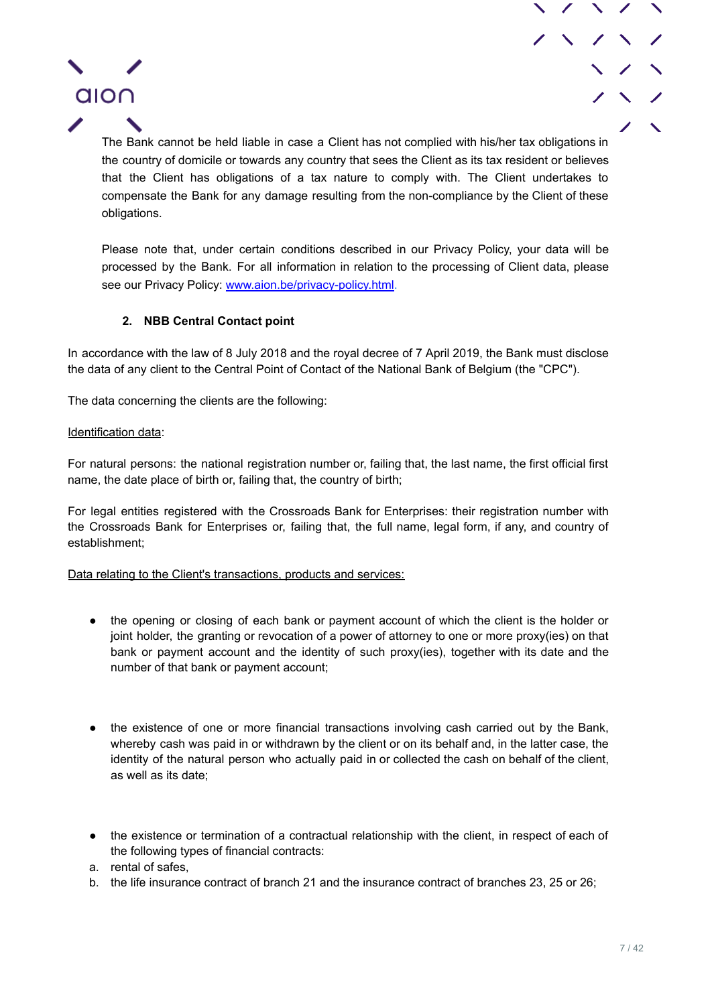The Bank cannot be held liable in case a Client has not complied with his/her tax obligations in the country of domicile or towards any country that sees the Client as its tax resident or believes that the Client has obligations of a tax nature to comply with. The Client undertakes to compensate the Bank for any damage resulting from the non-compliance by the Client of these obligations.

Please note that, under certain conditions described in our Privacy Policy, your data will be processed by the Bank. For all information in relation to the processing of Client data, please see our Privacy Policy: [www.aion.be/privacy-policy.html](http://www.aion.be/privacy-policy.html).

## **2. NBB Central Contact point**

<span id="page-6-0"></span>In accordance with the law of 8 July 2018 and the royal decree of 7 April 2019, the Bank must disclose the data of any client to the Central Point of Contact of the National Bank of Belgium (the "CPC").

The data concerning the clients are the following:

#### Identification data:

alon

For natural persons: the national registration number or, failing that, the last name, the first official first name, the date place of birth or, failing that, the country of birth;

For legal entities registered with the Crossroads Bank for Enterprises: their registration number with the Crossroads Bank for Enterprises or, failing that, the full name, legal form, if any, and country of establishment;

#### Data relating to the Client's transactions, products and services:

- the opening or closing of each bank or payment account of which the client is the holder or joint holder, the granting or revocation of a power of attorney to one or more proxy(ies) on that bank or payment account and the identity of such proxy(ies), together with its date and the number of that bank or payment account;
- the existence of one or more financial transactions involving cash carried out by the Bank, whereby cash was paid in or withdrawn by the client or on its behalf and, in the latter case, the identity of the natural person who actually paid in or collected the cash on behalf of the client, as well as its date;
- the existence or termination of a contractual relationship with the client, in respect of each of the following types of financial contracts:
- a. rental of safes,
- b. the life insurance contract of branch 21 and the insurance contract of branches 23, 25 or 26;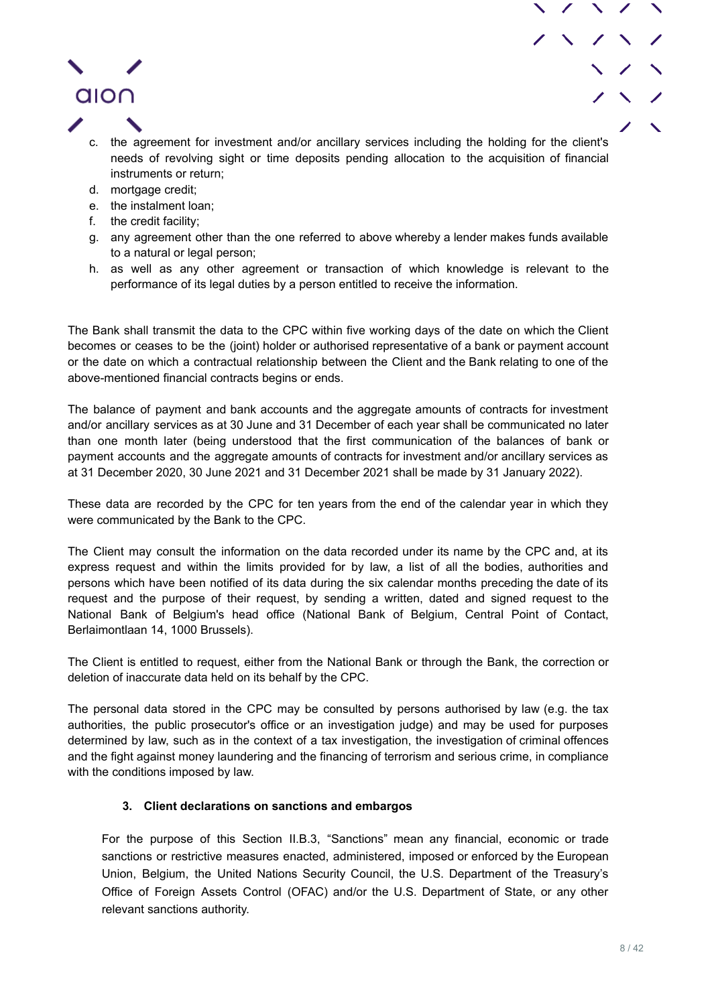

- c. the agreement for investment and/or ancillary services including the holding for the client's needs of revolving sight or time deposits pending allocation to the acquisition of financial instruments or return;
- d. mortgage credit;
- e. the instalment loan;
- f. the credit facility;
- g. any agreement other than the one referred to above whereby a lender makes funds available to a natural or legal person;
- h. as well as any other agreement or transaction of which knowledge is relevant to the performance of its legal duties by a person entitled to receive the information.

The Bank shall transmit the data to the CPC within five working days of the date on which the Client becomes or ceases to be the (joint) holder or authorised representative of a bank or payment account or the date on which a contractual relationship between the Client and the Bank relating to one of the above-mentioned financial contracts begins or ends.

The balance of payment and bank accounts and the aggregate amounts of contracts for investment and/or ancillary services as at 30 June and 31 December of each year shall be communicated no later than one month later (being understood that the first communication of the balances of bank or payment accounts and the aggregate amounts of contracts for investment and/or ancillary services as at 31 December 2020, 30 June 2021 and 31 December 2021 shall be made by 31 January 2022).

These data are recorded by the CPC for ten years from the end of the calendar year in which they were communicated by the Bank to the CPC.

The Client may consult the information on the data recorded under its name by the CPC and, at its express request and within the limits provided for by law, a list of all the bodies, authorities and persons which have been notified of its data during the six calendar months preceding the date of its request and the purpose of their request, by sending a written, dated and signed request to the National Bank of Belgium's head office (National Bank of Belgium, Central Point of Contact, Berlaimontlaan 14, 1000 Brussels).

The Client is entitled to request, either from the National Bank or through the Bank, the correction or deletion of inaccurate data held on its behalf by the CPC.

The personal data stored in the CPC may be consulted by persons authorised by law (e.g. the tax authorities, the public prosecutor's office or an investigation judge) and may be used for purposes determined by law, such as in the context of a tax investigation, the investigation of criminal offences and the fight against money laundering and the financing of terrorism and serious crime, in compliance with the conditions imposed by law.

### **3. Client declarations on sanctions and embargos**

<span id="page-7-0"></span>For the purpose of this Section II.B.3, "Sanctions" mean any financial, economic or trade sanctions or restrictive measures enacted, administered, imposed or enforced by the European Union, Belgium, the United Nations Security Council, the U.S. Department of the Treasury's Office of Foreign Assets Control (OFAC) and/or the U.S. Department of State, or any other relevant sanctions authority.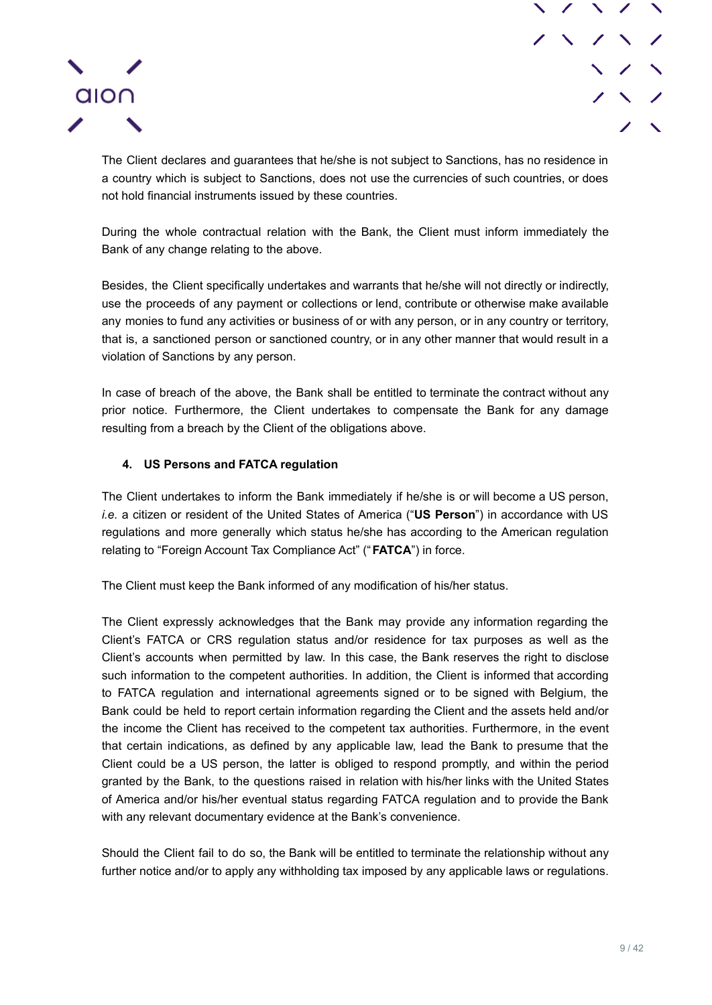



The Client declares and guarantees that he/she is not subject to Sanctions, has no residence in a country which is subject to Sanctions, does not use the currencies of such countries, or does not hold financial instruments issued by these countries.

During the whole contractual relation with the Bank, the Client must inform immediately the Bank of any change relating to the above.

Besides, the Client specifically undertakes and warrants that he/she will not directly or indirectly, use the proceeds of any payment or collections or lend, contribute or otherwise make available any monies to fund any activities or business of or with any person, or in any country or territory, that is, a sanctioned person or sanctioned country, or in any other manner that would result in a violation of Sanctions by any person.

In case of breach of the above, the Bank shall be entitled to terminate the contract without any prior notice. Furthermore, the Client undertakes to compensate the Bank for any damage resulting from a breach by the Client of the obligations above.

## **4. US Persons and FATCA regulation**

<span id="page-8-0"></span>The Client undertakes to inform the Bank immediately if he/she is or will become a US person, *i.e.* a citizen or resident of the United States of America ("**US Person**") in accordance with US regulations and more generally which status he/she has according to the American regulation relating to "Foreign Account Tax Compliance Act" ("**FATCA**") in force.

The Client must keep the Bank informed of any modification of his/her status.

The Client expressly acknowledges that the Bank may provide any information regarding the Client's FATCA or CRS regulation status and/or residence for tax purposes as well as the Client's accounts when permitted by law. In this case, the Bank reserves the right to disclose such information to the competent authorities. In addition, the Client is informed that according to FATCA regulation and international agreements signed or to be signed with Belgium, the Bank could be held to report certain information regarding the Client and the assets held and/or the income the Client has received to the competent tax authorities. Furthermore, in the event that certain indications, as defined by any applicable law, lead the Bank to presume that the Client could be a US person, the latter is obliged to respond promptly, and within the period granted by the Bank, to the questions raised in relation with his/her links with the United States of America and/or his/her eventual status regarding FATCA regulation and to provide the Bank with any relevant documentary evidence at the Bank's convenience.

Should the Client fail to do so, the Bank will be entitled to terminate the relationship without any further notice and/or to apply any withholding tax imposed by any applicable laws or regulations.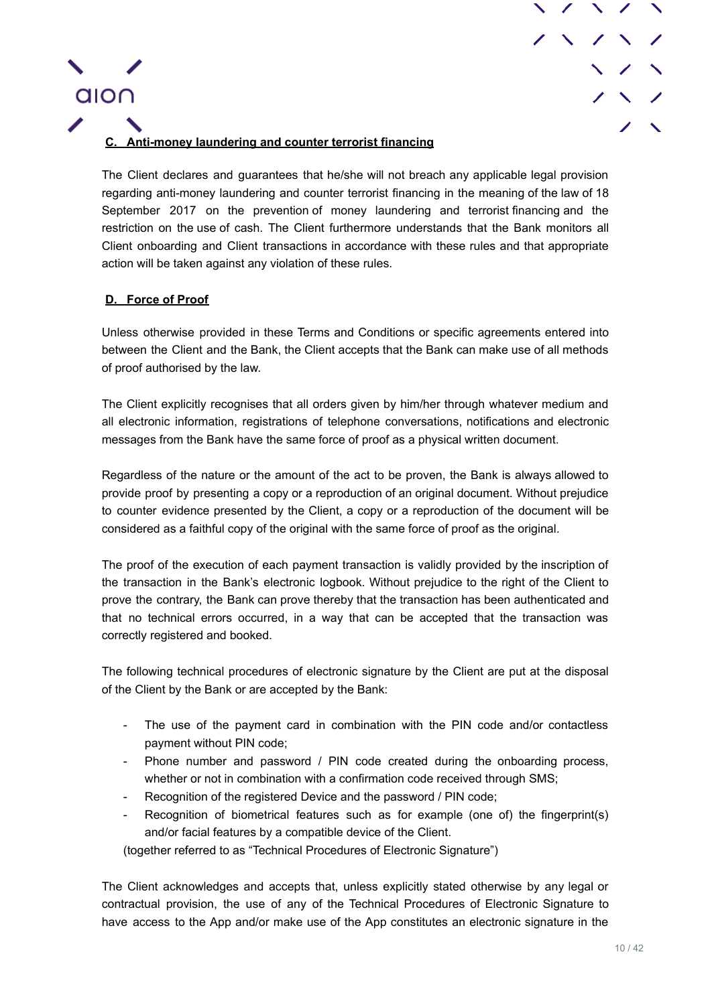

## <span id="page-9-0"></span>**C. Anti-money laundering and counter terrorist financing**

The Client declares and guarantees that he/she will not breach any applicable legal provision regarding anti-money laundering and counter terrorist financing in the meaning of the law of 18 September 2017 on the prevention of money laundering and terrorist financing and the restriction on the use of cash. The Client furthermore understands that the Bank monitors all Client onboarding and Client transactions in accordance with these rules and that appropriate action will be taken against any violation of these rules.

## <span id="page-9-1"></span>**D. Force of Proof**

**QION** 

Unless otherwise provided in these Terms and Conditions or specific agreements entered into between the Client and the Bank, the Client accepts that the Bank can make use of all methods of proof authorised by the law.

The Client explicitly recognises that all orders given by him/her through whatever medium and all electronic information, registrations of telephone conversations, notifications and electronic messages from the Bank have the same force of proof as a physical written document.

Regardless of the nature or the amount of the act to be proven, the Bank is always allowed to provide proof by presenting a copy or a reproduction of an original document. Without prejudice to counter evidence presented by the Client, a copy or a reproduction of the document will be considered as a faithful copy of the original with the same force of proof as the original.

The proof of the execution of each payment transaction is validly provided by the inscription of the transaction in the Bank's electronic logbook. Without prejudice to the right of the Client to prove the contrary, the Bank can prove thereby that the transaction has been authenticated and that no technical errors occurred, in a way that can be accepted that the transaction was correctly registered and booked.

The following technical procedures of electronic signature by the Client are put at the disposal of the Client by the Bank or are accepted by the Bank:

- The use of the payment card in combination with the PIN code and/or contactless payment without PIN code;
- Phone number and password / PIN code created during the onboarding process, whether or not in combination with a confirmation code received through SMS;
- Recognition of the registered Device and the password / PIN code;
- Recognition of biometrical features such as for example (one of) the fingerprint(s) and/or facial features by a compatible device of the Client.

(together referred to as "Technical Procedures of Electronic Signature")

The Client acknowledges and accepts that, unless explicitly stated otherwise by any legal or contractual provision, the use of any of the Technical Procedures of Electronic Signature to have access to the App and/or make use of the App constitutes an electronic signature in the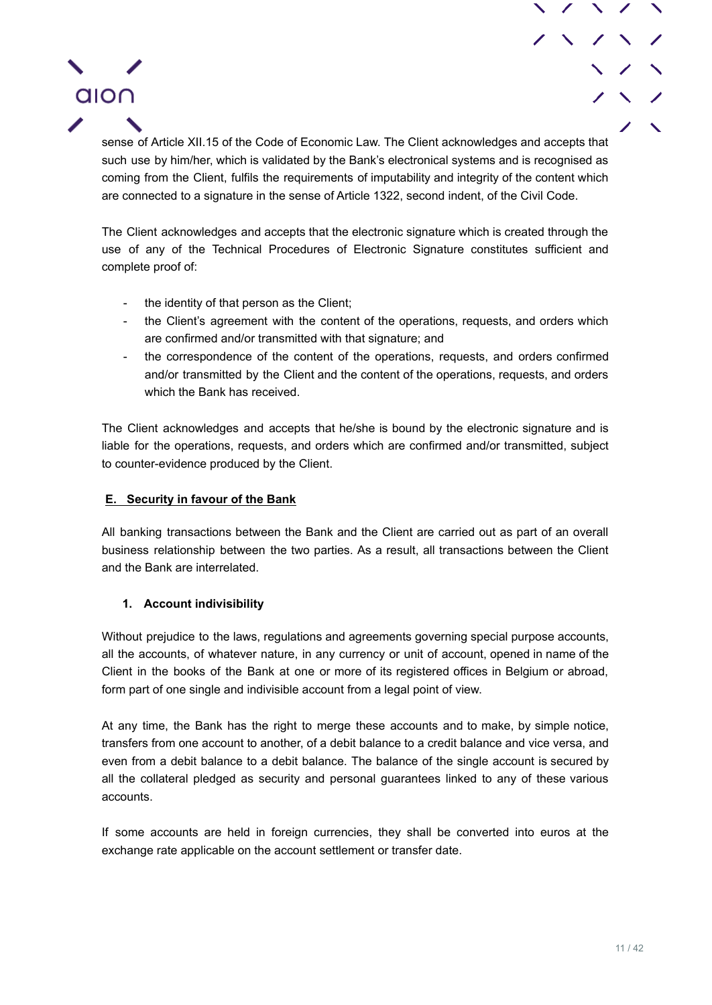sense of Article XII.15 of the Code of Economic Law. The Client acknowledges and accepts that such use by him/her, which is validated by the Bank's electronical systems and is recognised as coming from the Client, fulfils the requirements of imputability and integrity of the content which are connected to a signature in the sense of Article 1322, second indent, of the Civil Code.

The Client acknowledges and accepts that the electronic signature which is created through the use of any of the Technical Procedures of Electronic Signature constitutes sufficient and complete proof of:

the identity of that person as the Client;

alon

- the Client's agreement with the content of the operations, requests, and orders which are confirmed and/or transmitted with that signature; and
- the correspondence of the content of the operations, requests, and orders confirmed and/or transmitted by the Client and the content of the operations, requests, and orders which the Bank has received.

The Client acknowledges and accepts that he/she is bound by the electronic signature and is liable for the operations, requests, and orders which are confirmed and/or transmitted, subject to counter-evidence produced by the Client.

## <span id="page-10-0"></span>**E. Security in favour of the Bank**

All banking transactions between the Bank and the Client are carried out as part of an overall business relationship between the two parties. As a result, all transactions between the Client and the Bank are interrelated.

## **1. Account indivisibility**

<span id="page-10-1"></span>Without prejudice to the laws, regulations and agreements governing special purpose accounts, all the accounts, of whatever nature, in any currency or unit of account, opened in name of the Client in the books of the Bank at one or more of its registered offices in Belgium or abroad, form part of one single and indivisible account from a legal point of view.

At any time, the Bank has the right to merge these accounts and to make, by simple notice, transfers from one account to another, of a debit balance to a credit balance and vice versa, and even from a debit balance to a debit balance. The balance of the single account is secured by all the collateral pledged as security and personal guarantees linked to any of these various accounts.

If some accounts are held in foreign currencies, they shall be converted into euros at the exchange rate applicable on the account settlement or transfer date.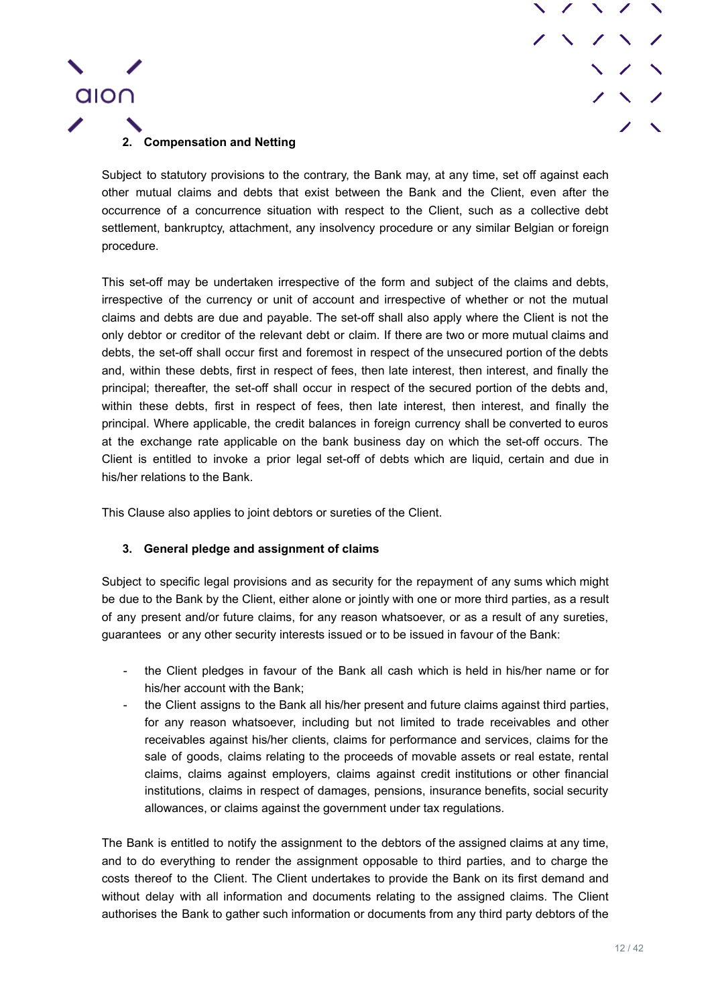



<span id="page-11-0"></span>Subject to statutory provisions to the contrary, the Bank may, at any time, set off against each other mutual claims and debts that exist between the Bank and the Client, even after the occurrence of a concurrence situation with respect to the Client, such as a collective debt settlement, bankruptcy, attachment, any insolvency procedure or any similar Belgian or foreign procedure.

This set-off may be undertaken irrespective of the form and subject of the claims and debts, irrespective of the currency or unit of account and irrespective of whether or not the mutual claims and debts are due and payable. The set-off shall also apply where the Client is not the only debtor or creditor of the relevant debt or claim. If there are two or more mutual claims and debts, the set-off shall occur first and foremost in respect of the unsecured portion of the debts and, within these debts, first in respect of fees, then late interest, then interest, and finally the principal; thereafter, the set-off shall occur in respect of the secured portion of the debts and, within these debts, first in respect of fees, then late interest, then interest, and finally the principal. Where applicable, the credit balances in foreign currency shall be converted to euros at the exchange rate applicable on the bank business day on which the set-off occurs. The Client is entitled to invoke a prior legal set-off of debts which are liquid, certain and due in his/her relations to the Bank.

This Clause also applies to joint debtors or sureties of the Client.

#### **3. General pledge and assignment of claims**

<span id="page-11-1"></span>Subject to specific legal provisions and as security for the repayment of any sums which might be due to the Bank by the Client, either alone or jointly with one or more third parties, as a result of any present and/or future claims, for any reason whatsoever, or as a result of any sureties, guarantees or any other security interests issued or to be issued in favour of the Bank:

- the Client pledges in favour of the Bank all cash which is held in his/her name or for his/her account with the Bank;
- the Client assigns to the Bank all his/her present and future claims against third parties, for any reason whatsoever, including but not limited to trade receivables and other receivables against his/her clients, claims for performance and services, claims for the sale of goods, claims relating to the proceeds of movable assets or real estate, rental claims, claims against employers, claims against credit institutions or other financial institutions, claims in respect of damages, pensions, insurance benefits, social security allowances, or claims against the government under tax regulations.

The Bank is entitled to notify the assignment to the debtors of the assigned claims at any time, and to do everything to render the assignment opposable to third parties, and to charge the costs thereof to the Client. The Client undertakes to provide the Bank on its first demand and without delay with all information and documents relating to the assigned claims. The Client authorises the Bank to gather such information or documents from any third party debtors of the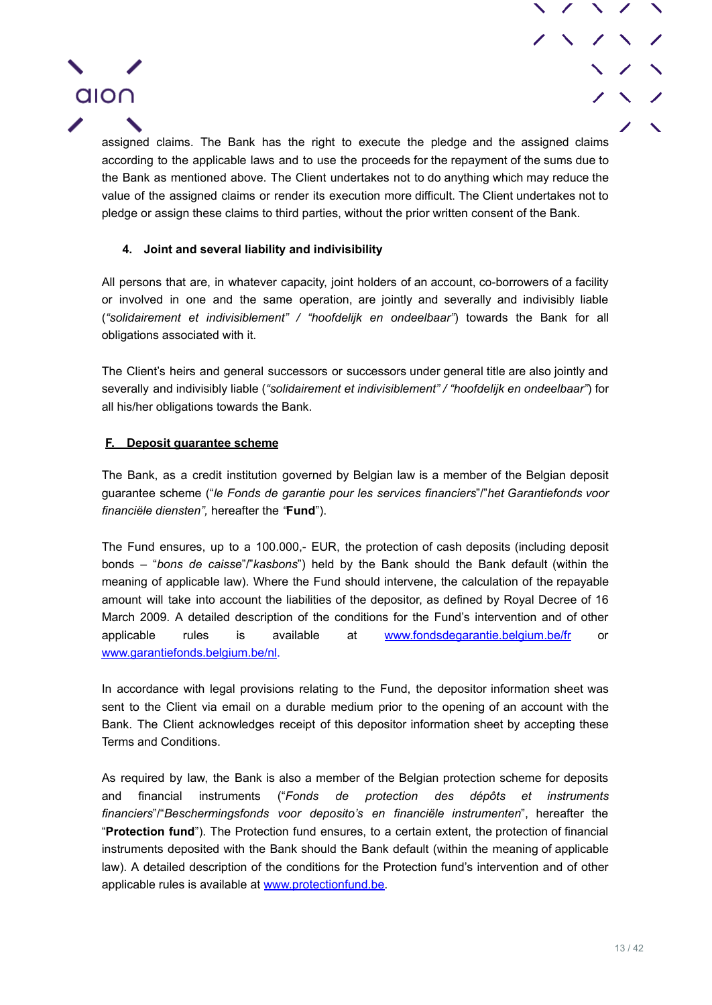



assigned claims. The Bank has the right to execute the pledge and the assigned claims according to the applicable laws and to use the proceeds for the repayment of the sums due to the Bank as mentioned above. The Client undertakes not to do anything which may reduce the value of the assigned claims or render its execution more difficult. The Client undertakes not to pledge or assign these claims to third parties, without the prior written consent of the Bank.

## **4. Joint and several liability and indivisibility**

<span id="page-12-0"></span>All persons that are, in whatever capacity, joint holders of an account, co-borrowers of a facility or involved in one and the same operation, are jointly and severally and indivisibly liable (*"solidairement et indivisiblement" / "hoofdelijk en ondeelbaar"*) towards the Bank for all obligations associated with it.

The Client's heirs and general successors or successors under general title are also jointly and severally and indivisibly liable (*"solidairement et indivisiblement" / "hoofdelijk en ondeelbaar"*) for all his/her obligations towards the Bank.

#### <span id="page-12-1"></span>**F. Deposit guarantee scheme**

The Bank, as a credit institution governed by Belgian law is a member of the Belgian deposit guarantee scheme ("*le Fonds de garantie pour les services financiers*"/"*het Garantiefonds voor financiële diensten",* hereafter the *"***Fund**").

The Fund ensures, up to a 100.000,- EUR, the protection of cash deposits (including deposit bonds – "*bons de caisse*"/"*kasbons*") held by the Bank should the Bank default (within the meaning of applicable law). Where the Fund should intervene, the calculation of the repayable amount will take into account the liabilities of the depositor, as defined by Royal Decree of 16 March 2009. A detailed description of the conditions for the Fund's intervention and of other applicable rules is available at [www.fondsdegarantie.belgium.be/fr](http://www.fondsdegarantie.belgium.be/fr) or [www.garantiefonds.belgium.be/nl.](http://www.garantiefonds.belgium.be/nl)

In accordance with legal provisions relating to the Fund, the depositor information sheet was sent to the Client via email on a durable medium prior to the opening of an account with the Bank. The Client acknowledges receipt of this depositor information sheet by accepting these Terms and Conditions.

As required by law, the Bank is also a member of the Belgian protection scheme for deposits and financial instruments ("*Fonds de protection des dépôts et instruments financiers*"/"*Beschermingsfonds voor deposito's en financiële instrumenten*", hereafter the "**Protection fund**"). The Protection fund ensures, to a certain extent, the protection of financial instruments deposited with the Bank should the Bank default (within the meaning of applicable law). A detailed description of the conditions for the Protection fund's intervention and of other applicable rules is available at [www.protectionfund.be.](http://www.protectionfund.be)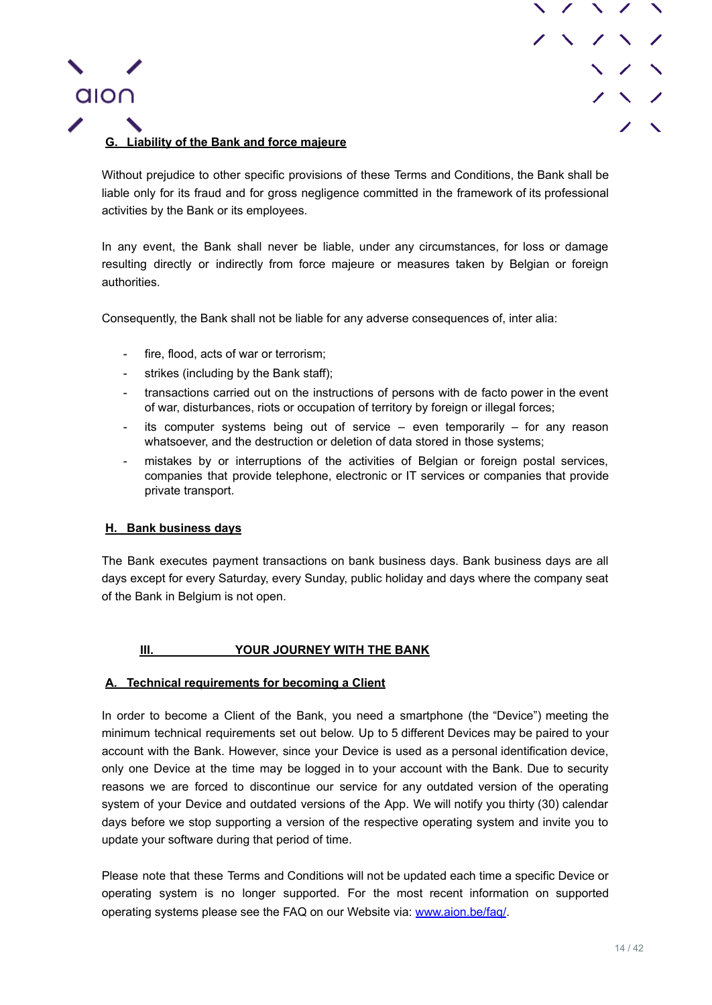

## <span id="page-13-0"></span>**G. Liability of the Bank and force majeure**

aion

Without prejudice to other specific provisions of these Terms and Conditions, the Bank shall be liable only for its fraud and for gross negligence committed in the framework of its professional activities by the Bank or its employees.

In any event, the Bank shall never be liable, under any circumstances, for loss or damage resulting directly or indirectly from force majeure or measures taken by Belgian or foreign authorities.

Consequently, the Bank shall not be liable for any adverse consequences of, inter alia:

- fire, flood, acts of war or terrorism;
- strikes (including by the Bank staff);
- transactions carried out on the instructions of persons with de facto power in the event of war, disturbances, riots or occupation of territory by foreign or illegal forces;
- its computer systems being out of service  $-$  even temporarily  $-$  for any reason whatsoever, and the destruction or deletion of data stored in those systems;
- mistakes by or interruptions of the activities of Belgian or foreign postal services, companies that provide telephone, electronic or IT services or companies that provide private transport.

#### <span id="page-13-1"></span>**H. Bank business days**

The Bank executes payment transactions on bank business days. Bank business days are all days except for every Saturday, every Sunday, public holiday and days where the company seat of the Bank in Belgium is not open.

#### **III. YOUR JOURNEY WITH THE BANK**

#### <span id="page-13-3"></span><span id="page-13-2"></span>**A. Technical requirements for becoming a Client**

In order to become a Client of the Bank, you need a smartphone (the "Device") meeting the minimum technical requirements set out below. Up to 5 different Devices may be paired to your account with the Bank. However, since your Device is used as a personal identification device, only one Device at the time may be logged in to your account with the Bank. Due to security reasons we are forced to discontinue our service for any outdated version of the operating system of your Device and outdated versions of the App. We will notify you thirty (30) calendar days before we stop supporting a version of the respective operating system and invite you to update your software during that period of time.

Please note that these Terms and Conditions will not be updated each time a specific Device or operating system is no longer supported. For the most recent information on supported operating systems please see the FAQ on our Website via: [www.aion.be/faq/.](http://www.aion.be/faq/)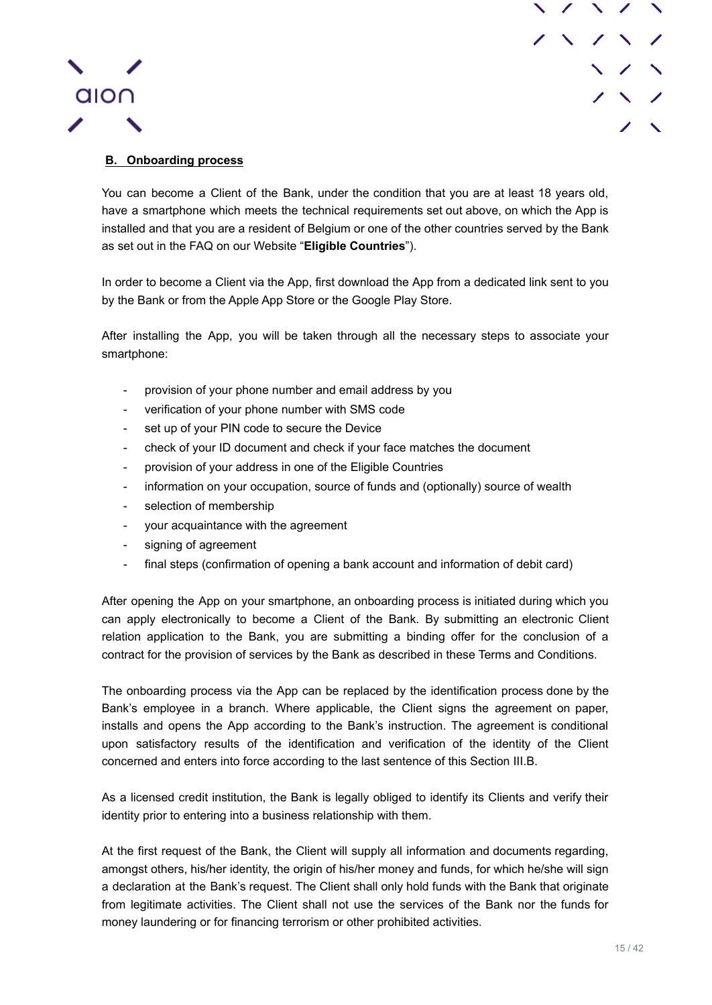



## <span id="page-14-0"></span>**B. Onboarding process**

You can become a Client of the Bank, under the condition that you are at least 18 years old, have a smartphone which meets the technical requirements set out above, on which the App is installed and that you are a resident of Belgium or one of the other countries served by the Bank as set out in the FAQ on our Website "**Eligible Countries**").

In order to become a Client via the App, first download the App from a dedicated link sent to you by the Bank or from the Apple App Store or the Google Play Store.

After installing the App, you will be taken through all the necessary steps to associate your smartphone:

- provision of your phone number and email address by you
- verification of your phone number with SMS code
- set up of your PIN code to secure the Device
- check of your ID document and check if your face matches the document
- provision of your address in one of the Eligible Countries
- information on your occupation, source of funds and (optionally) source of wealth
- selection of membership
- your acquaintance with the agreement
- signing of agreement
- final steps (confirmation of opening a bank account and information of debit card)

After opening the App on your smartphone, an onboarding process is initiated during which you can apply electronically to become a Client of the Bank. By submitting an electronic Client relation application to the Bank, you are submitting a binding offer for the conclusion of a contract for the provision of services by the Bank as described in these Terms and Conditions.

The onboarding process via the App can be replaced by the identification process done by the Bank's employee in a branch. Where applicable, the Client signs the agreement on paper, installs and opens the App according to the Bank's instruction. The agreement is conditional upon satisfactory results of the identification and verification of the identity of the Client concerned and enters into force according to the last sentence of this Section III.B.

As a licensed credit institution, the Bank is legally obliged to identify its Clients and verify their identity prior to entering into a business relationship with them.

At the first request of the Bank, the Client will supply all information and documents regarding, amongst others, his/her identity, the origin of his/her money and funds, for which he/she will sign a declaration at the Bank's request. The Client shall only hold funds with the Bank that originate from legitimate activities. The Client shall not use the services of the Bank nor the funds for money laundering or for financing terrorism or other prohibited activities.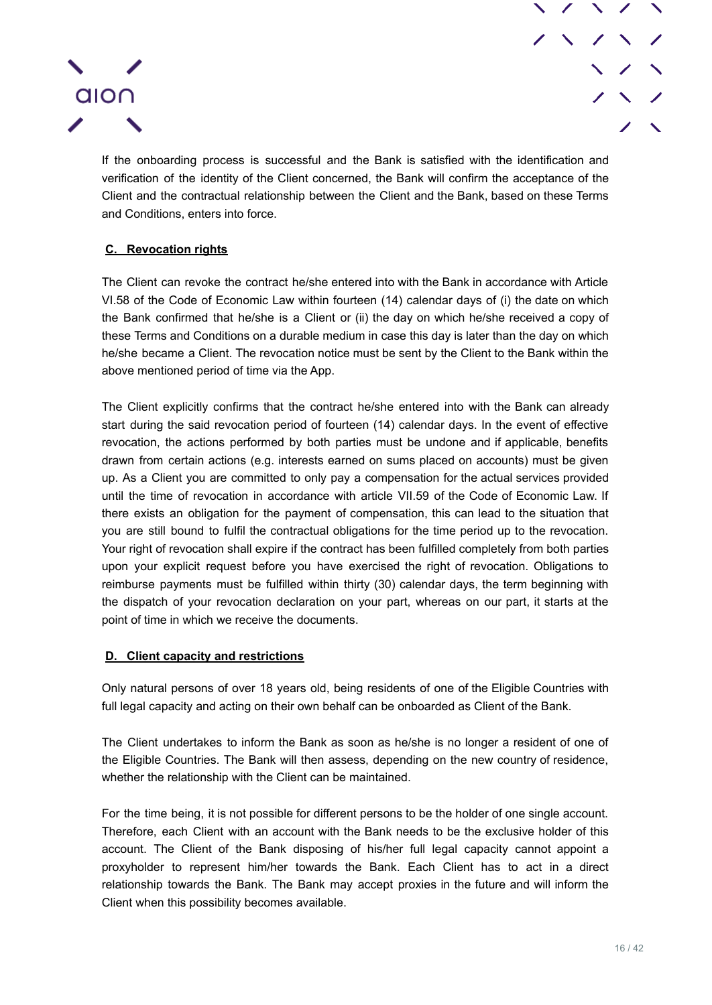



If the onboarding process is successful and the Bank is satisfied with the identification and verification of the identity of the Client concerned, the Bank will confirm the acceptance of the Client and the contractual relationship between the Client and the Bank, based on these Terms and Conditions, enters into force.

## <span id="page-15-0"></span>**C. Revocation rights**

The Client can revoke the contract he/she entered into with the Bank in accordance with Article VI.58 of the Code of Economic Law within fourteen (14) calendar days of (i) the date on which the Bank confirmed that he/she is a Client or (ii) the day on which he/she received a copy of these Terms and Conditions on a durable medium in case this day is later than the day on which he/she became a Client. The revocation notice must be sent by the Client to the Bank within the above mentioned period of time via the App.

The Client explicitly confirms that the contract he/she entered into with the Bank can already start during the said revocation period of fourteen (14) calendar days. In the event of effective revocation, the actions performed by both parties must be undone and if applicable, benefits drawn from certain actions (e.g. interests earned on sums placed on accounts) must be given up. As a Client you are committed to only pay a compensation for the actual services provided until the time of revocation in accordance with article VII.59 of the Code of Economic Law. If there exists an obligation for the payment of compensation, this can lead to the situation that you are still bound to fulfil the contractual obligations for the time period up to the revocation. Your right of revocation shall expire if the contract has been fulfilled completely from both parties upon your explicit request before you have exercised the right of revocation. Obligations to reimburse payments must be fulfilled within thirty (30) calendar days, the term beginning with the dispatch of your revocation declaration on your part, whereas on our part, it starts at the point of time in which we receive the documents.

#### <span id="page-15-1"></span>**D. Client capacity and restrictions**

Only natural persons of over 18 years old, being residents of one of the Eligible Countries with full legal capacity and acting on their own behalf can be onboarded as Client of the Bank.

The Client undertakes to inform the Bank as soon as he/she is no longer a resident of one of the Eligible Countries. The Bank will then assess, depending on the new country of residence, whether the relationship with the Client can be maintained.

For the time being, it is not possible for different persons to be the holder of one single account. Therefore, each Client with an account with the Bank needs to be the exclusive holder of this account. The Client of the Bank disposing of his/her full legal capacity cannot appoint a proxyholder to represent him/her towards the Bank. Each Client has to act in a direct relationship towards the Bank. The Bank may accept proxies in the future and will inform the Client when this possibility becomes available.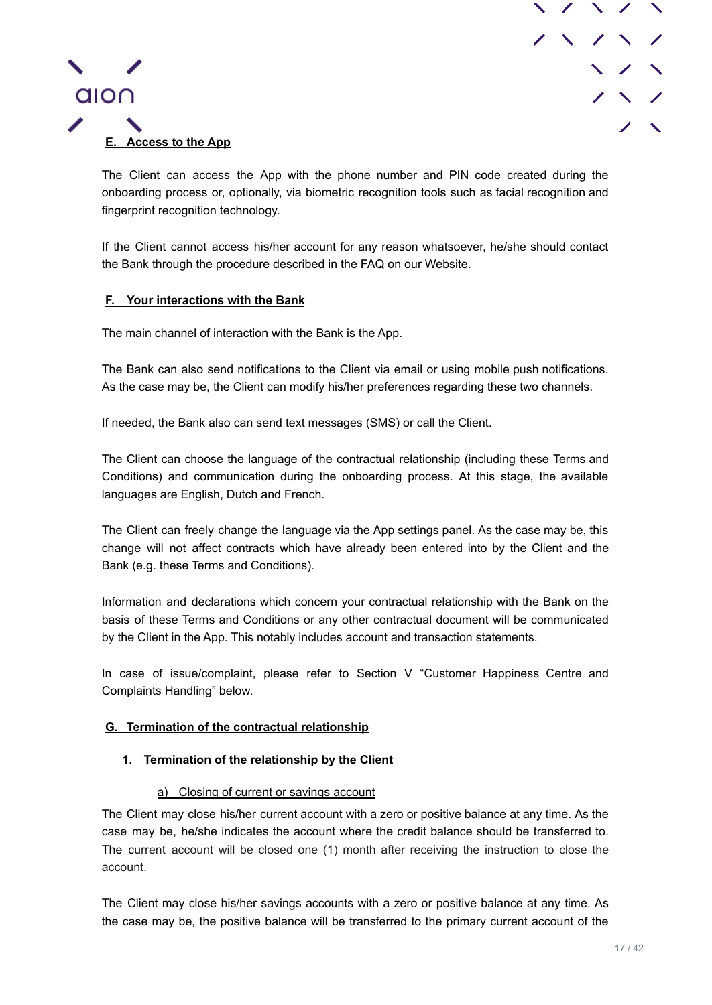



<span id="page-16-0"></span>The Client can access the App with the phone number and PIN code created during the onboarding process or, optionally, via biometric recognition tools such as facial recognition and fingerprint recognition technology.

If the Client cannot access his/her account for any reason whatsoever, he/she should contact the Bank through the procedure described in the FAQ on our Website.

#### <span id="page-16-1"></span>**F. Your interactions with the Bank**

The main channel of interaction with the Bank is the App.

The Bank can also send notifications to the Client via email or using mobile push notifications. As the case may be, the Client can modify his/her preferences regarding these two channels.

If needed, the Bank also can send text messages (SMS) or call the Client.

The Client can choose the language of the contractual relationship (including these Terms and Conditions) and communication during the onboarding process. At this stage, the available languages are English, Dutch and French.

The Client can freely change the language via the App settings panel. As the case may be, this change will not affect contracts which have already been entered into by the Client and the Bank (e.g. these Terms and Conditions).

Information and declarations which concern your contractual relationship with the Bank on the basis of these Terms and Conditions or any other contractual document will be communicated by the Client in the App. This notably includes account and transaction statements.

In case of issue/complaint, please refer to Section V "Customer Happiness Centre and Complaints Handling" below.

#### <span id="page-16-3"></span><span id="page-16-2"></span>**G. Termination of the contractual relationship**

#### **1. Termination of the relationship by the Client**

#### a) Closing of current or savings account

<span id="page-16-4"></span>The Client may close his/her current account with a zero or positive balance at any time. As the case may be, he/she indicates the account where the credit balance should be transferred to. The current account will be closed one (1) month after receiving the instruction to close the account.

The Client may close his/her savings accounts with a zero or positive balance at any time. As the case may be, the positive balance will be transferred to the primary current account of the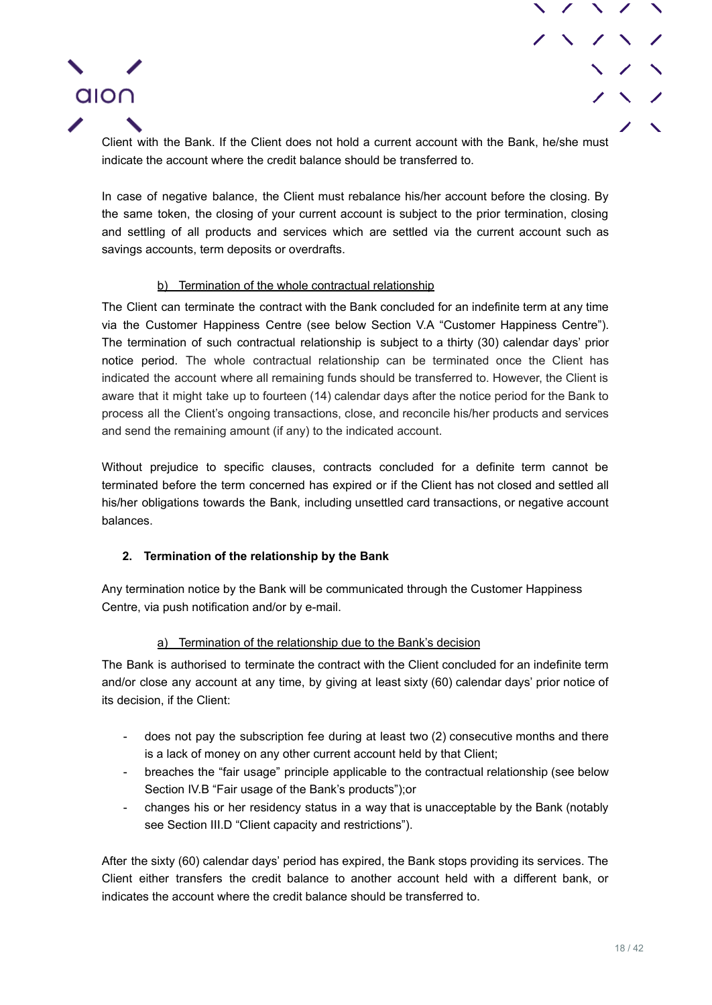

Client with the Bank. If the Client does not hold a current account with the Bank, he/she must indicate the account where the credit balance should be transferred to.

In case of negative balance, the Client must rebalance his/her account before the closing. By the same token, the closing of your current account is subject to the prior termination, closing and settling of all products and services which are settled via the current account such as savings accounts, term deposits or overdrafts.

#### b) Termination of the whole contractual relationship

aion

<span id="page-17-0"></span>The Client can terminate the contract with the Bank concluded for an indefinite term at any time via the Customer Happiness Centre (see below Section V.A "Customer Happiness Centre"). The termination of such contractual relationship is subject to a thirty (30) calendar days' prior notice period. The whole contractual relationship can be terminated once the Client has indicated the account where all remaining funds should be transferred to. However, the Client is aware that it might take up to fourteen (14) calendar days after the notice period for the Bank to process all the Client's ongoing transactions, close, and reconcile his/her products and services and send the remaining amount (if any) to the indicated account.

Without prejudice to specific clauses, contracts concluded for a definite term cannot be terminated before the term concerned has expired or if the Client has not closed and settled all his/her obligations towards the Bank, including unsettled card transactions, or negative account balances.

## **2. Termination of the relationship by the Bank**

<span id="page-17-1"></span>Any termination notice by the Bank will be communicated through the Customer Happiness Centre, via push notification and/or by e-mail.

#### a) Termination of the relationship due to the Bank's decision

<span id="page-17-2"></span>The Bank is authorised to terminate the contract with the Client concluded for an indefinite term and/or close any account at any time, by giving at least sixty (60) calendar days' prior notice of its decision, if the Client:

- does not pay the subscription fee during at least two (2) consecutive months and there is a lack of money on any other current account held by that Client;
- breaches the "fair usage" principle applicable to the contractual relationship (see below Section IV.B "Fair usage of the Bank's products");or
- changes his or her residency status in a way that is unacceptable by the Bank (notably see Section III.D "Client capacity and restrictions").

After the sixty (60) calendar days' period has expired, the Bank stops providing its services. The Client either transfers the credit balance to another account held with a different bank, or indicates the account where the credit balance should be transferred to.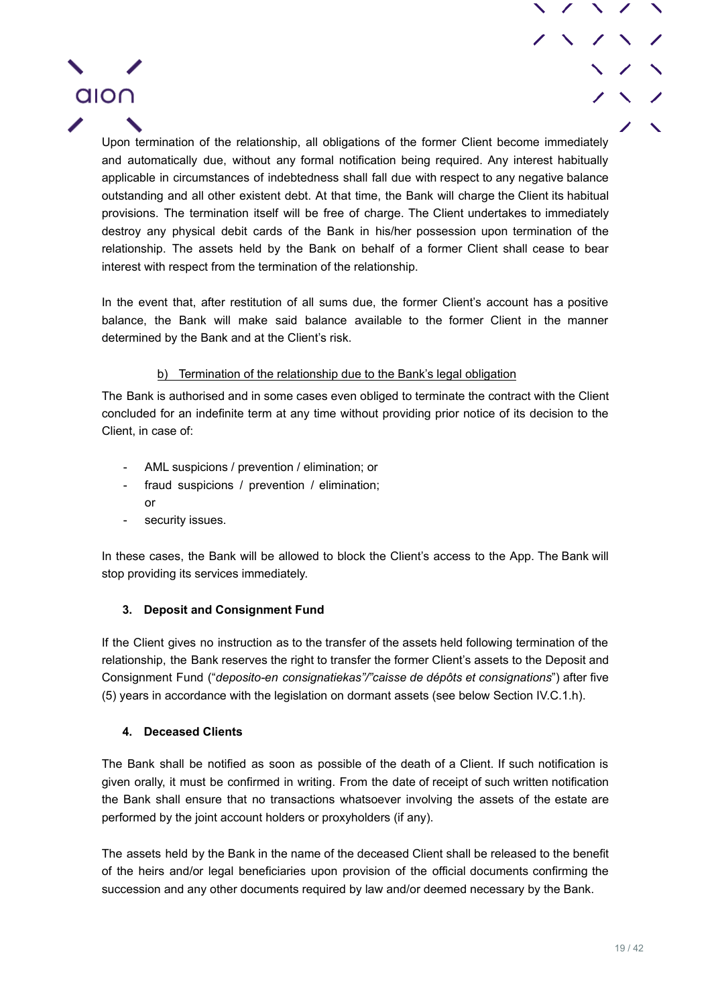Upon termination of the relationship, all obligations of the former Client become immediately and automatically due, without any formal notification being required. Any interest habitually applicable in circumstances of indebtedness shall fall due with respect to any negative balance outstanding and all other existent debt. At that time, the Bank will charge the Client its habitual provisions. The termination itself will be free of charge. The Client undertakes to immediately destroy any physical debit cards of the Bank in his/her possession upon termination of the relationship. The assets held by the Bank on behalf of a former Client shall cease to bear interest with respect from the termination of the relationship.

In the event that, after restitution of all sums due, the former Client's account has a positive balance, the Bank will make said balance available to the former Client in the manner determined by the Bank and at the Client's risk.

## b) Termination of the relationship due to the Bank's legal obligation

<span id="page-18-0"></span>The Bank is authorised and in some cases even obliged to terminate the contract with the Client concluded for an indefinite term at any time without providing prior notice of its decision to the Client, in case of:

- AML suspicions / prevention / elimination; or
- fraud suspicions / prevention / elimination;
	- or

alon.

security issues.

In these cases, the Bank will be allowed to block the Client's access to the App. The Bank will stop providing its services immediately.

## **3. Deposit and Consignment Fund**

<span id="page-18-1"></span>If the Client gives no instruction as to the transfer of the assets held following termination of the relationship, the Bank reserves the right to transfer the former Client's assets to the Deposit and Consignment Fund ("*deposito-en consignatiekas"/"caisse de dépôts et consignations*") after five (5) years in accordance with the legislation on dormant assets (see below Section IV.C.1.h).

#### **4. Deceased Clients**

<span id="page-18-2"></span>The Bank shall be notified as soon as possible of the death of a Client. If such notification is given orally, it must be confirmed in writing. From the date of receipt of such written notification the Bank shall ensure that no transactions whatsoever involving the assets of the estate are performed by the joint account holders or proxyholders (if any).

The assets held by the Bank in the name of the deceased Client shall be released to the benefit of the heirs and/or legal beneficiaries upon provision of the official documents confirming the succession and any other documents required by law and/or deemed necessary by the Bank.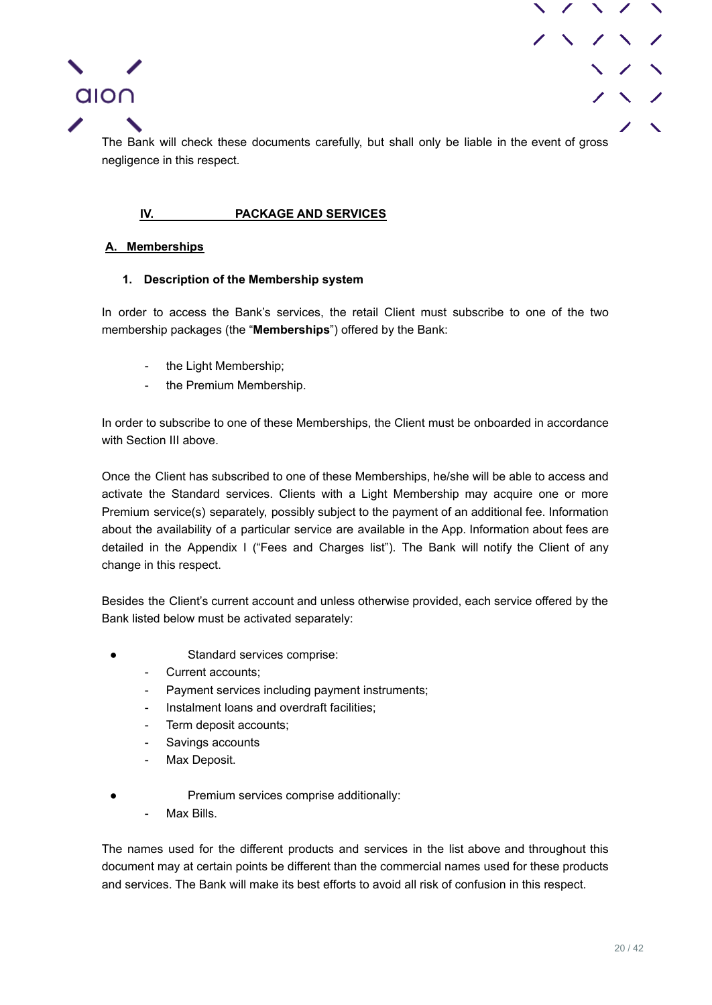



The Bank will check these documents carefully, but shall only be liable in the event of gross negligence in this respect.

## **IV. PACKAGE AND SERVICES**

#### <span id="page-19-1"></span><span id="page-19-0"></span>**A. Memberships**

#### **1. Description of the Membership system**

<span id="page-19-2"></span>In order to access the Bank's services, the retail Client must subscribe to one of the two membership packages (the "**Memberships**") offered by the Bank:

- the Light Membership;
- the Premium Membership.

In order to subscribe to one of these Memberships, the Client must be onboarded in accordance with Section III above.

Once the Client has subscribed to one of these Memberships, he/she will be able to access and activate the Standard services. Clients with a Light Membership may acquire one or more Premium service(s) separately, possibly subject to the payment of an additional fee. Information about the availability of a particular service are available in the App. Information about fees are detailed in the Appendix I ("Fees and Charges list"). The Bank will notify the Client of any change in this respect.

Besides the Client's current account and unless otherwise provided, each service offered by the Bank listed below must be activated separately:

- Standard services comprise:
	- Current accounts;
	- Payment services including payment instruments;
	- Instalment loans and overdraft facilities:
	- Term deposit accounts;
	- Savings accounts
	- Max Deposit.
	- Premium services comprise additionally:
		- Max Bills.

The names used for the different products and services in the list above and throughout this document may at certain points be different than the commercial names used for these products and services. The Bank will make its best efforts to avoid all risk of confusion in this respect.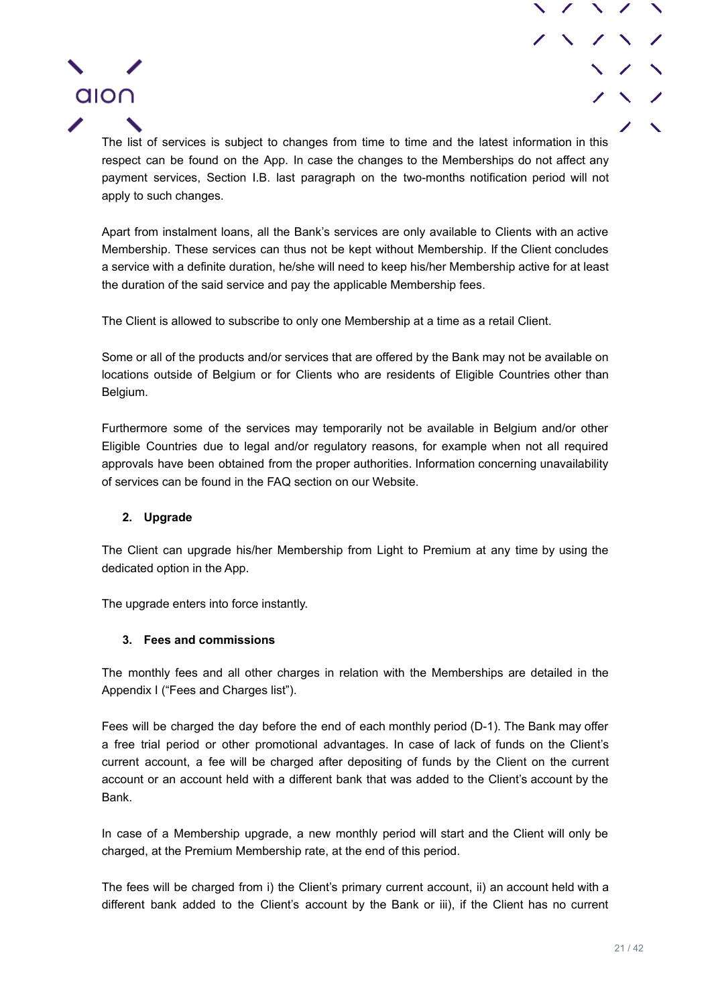

The list of services is subject to changes from time to time and the latest information in this respect can be found on the App. In case the changes to the Memberships do not affect any payment services, Section I.B. last paragraph on the two-months notification period will not apply to such changes.

Apart from instalment loans, all the Bank's services are only available to Clients with an active Membership. These services can thus not be kept without Membership. If the Client concludes a service with a definite duration, he/she will need to keep his/her Membership active for at least the duration of the said service and pay the applicable Membership fees.

The Client is allowed to subscribe to only one Membership at a time as a retail Client.

Some or all of the products and/or services that are offered by the Bank may not be available on locations outside of Belgium or for Clients who are residents of Eligible Countries other than Belgium.

Furthermore some of the services may temporarily not be available in Belgium and/or other Eligible Countries due to legal and/or regulatory reasons, for example when not all required approvals have been obtained from the proper authorities. Information concerning unavailability of services can be found in the FAQ section on our Website[.](https://www.aion.be/en/questions/faq/)

## **2. Upgrade**

alon

<span id="page-20-0"></span>The Client can upgrade his/her Membership from Light to Premium at any time by using the dedicated option in the App.

The upgrade enters into force instantly.

#### **3. Fees and commissions**

<span id="page-20-1"></span>The monthly fees and all other charges in relation with the Memberships are detailed in the Appendix I ("Fees and Charges list").

Fees will be charged the day before the end of each monthly period (D-1). The Bank may offer a free trial period or other promotional advantages. In case of lack of funds on the Client's current account, a fee will be charged after depositing of funds by the Client on the current account or an account held with a different bank that was added to the Client's account by the Bank.

In case of a Membership upgrade, a new monthly period will start and the Client will only be charged, at the Premium Membership rate, at the end of this period.

The fees will be charged from i) the Client's primary current account, ii) an account held with a different bank added to the Client's account by the Bank or iii), if the Client has no current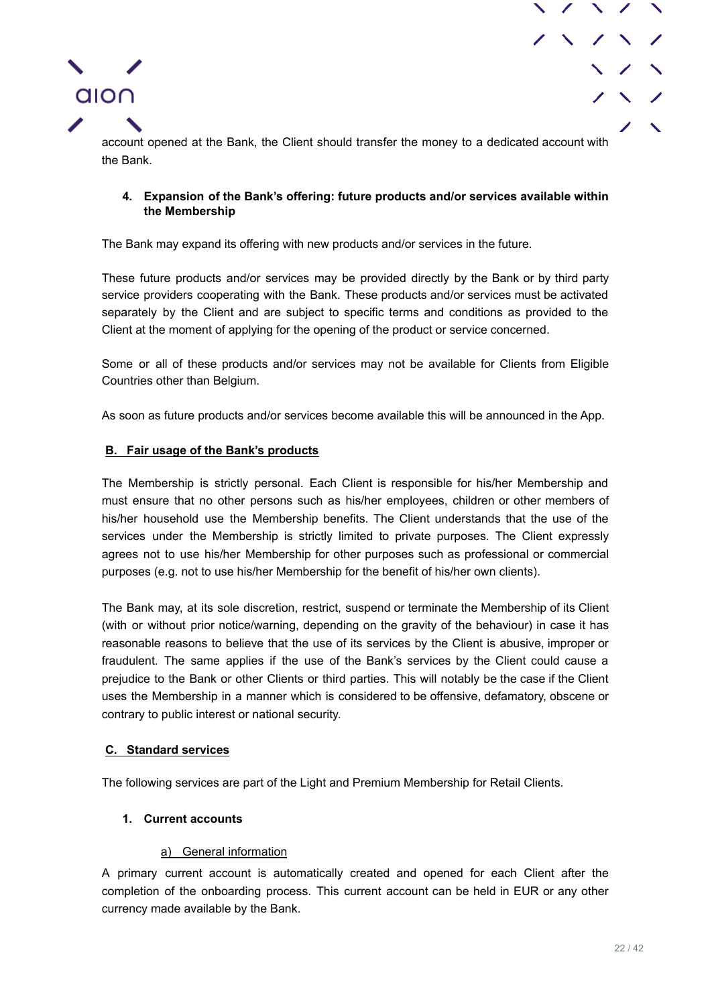



account opened at the Bank, the Client should transfer the money to a dedicated account with the Bank.

## **4. Expansion of the Bank's offering: future products and/or services available within the Membership**

<span id="page-21-0"></span>The Bank may expand its offering with new products and/or services in the future.

These future products and/or services may be provided directly by the Bank or by third party service providers cooperating with the Bank. These products and/or services must be activated separately by the Client and are subject to specific terms and conditions as provided to the Client at the moment of applying for the opening of the product or service concerned.

Some or all of these products and/or services may not be available for Clients from Eligible Countries other than Belgium.

As soon as future products and/or services become available this will be announced in the App.

#### <span id="page-21-1"></span>**B. Fair usage of the Bank's products**

The Membership is strictly personal. Each Client is responsible for his/her Membership and must ensure that no other persons such as his/her employees, children or other members of his/her household use the Membership benefits. The Client understands that the use of the services under the Membership is strictly limited to private purposes. The Client expressly agrees not to use his/her Membership for other purposes such as professional or commercial purposes (e.g. not to use his/her Membership for the benefit of his/her own clients).

The Bank may, at its sole discretion, restrict, suspend or terminate the Membership of its Client (with or without prior notice/warning, depending on the gravity of the behaviour) in case it has reasonable reasons to believe that the use of its services by the Client is abusive, improper or fraudulent. The same applies if the use of the Bank's services by the Client could cause a prejudice to the Bank or other Clients or third parties. This will notably be the case if the Client uses the Membership in a manner which is considered to be offensive, defamatory, obscene or contrary to public interest or national security.

#### <span id="page-21-2"></span>**C. Standard services**

<span id="page-21-3"></span>The following services are part of the Light and Premium Membership for Retail Clients.

## **1. Current accounts**

#### a) General information

<span id="page-21-4"></span>A primary current account is automatically created and opened for each Client after the completion of the onboarding process. This current account can be held in EUR or any other currency made available by the Bank.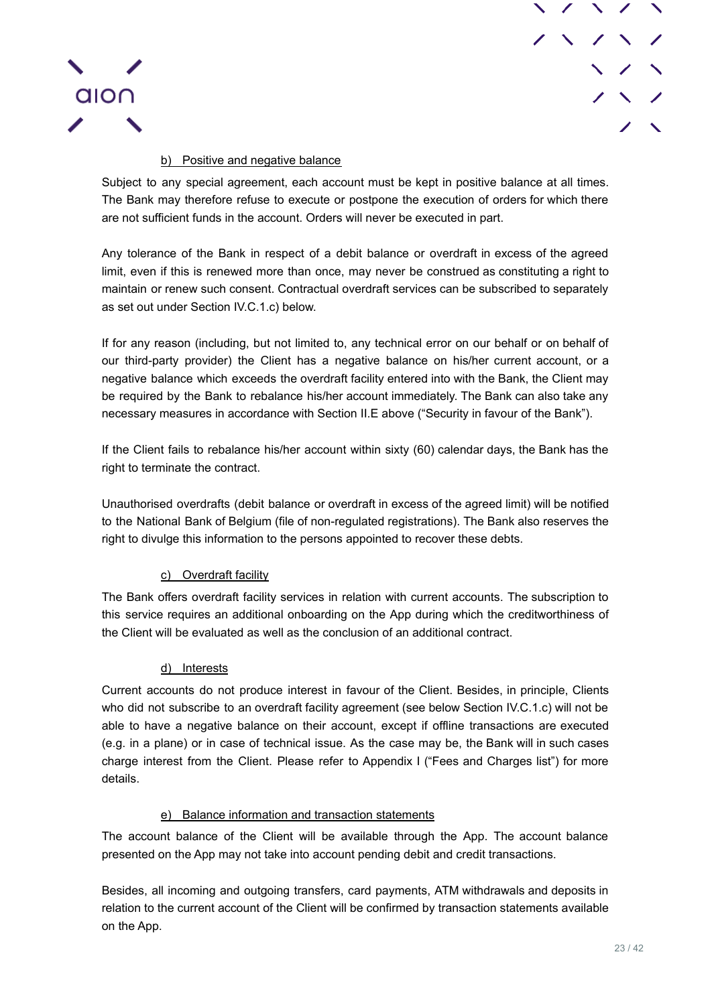



## b) Positive and negative balance

<span id="page-22-0"></span>Subject to any special agreement, each account must be kept in positive balance at all times. The Bank may therefore refuse to execute or postpone the execution of orders for which there are not sufficient funds in the account. Orders will never be executed in part.

Any tolerance of the Bank in respect of a debit balance or overdraft in excess of the agreed limit, even if this is renewed more than once, may never be construed as constituting a right to maintain or renew such consent. Contractual overdraft services can be subscribed to separately as set out under Section IV.C.1.c) below.

If for any reason (including, but not limited to, any technical error on our behalf or on behalf of our third-party provider) the Client has a negative balance on his/her current account, or a negative balance which exceeds the overdraft facility entered into with the Bank, the Client may be required by the Bank to rebalance his/her account immediately. The Bank can also take any necessary measures in accordance with Section II.E above ("Security in favour of the Bank").

If the Client fails to rebalance his/her account within sixty (60) calendar days, the Bank has the right to terminate the contract.

Unauthorised overdrafts (debit balance or overdraft in excess of the agreed limit) will be notified to the National Bank of Belgium (file of non-regulated registrations). The Bank also reserves the right to divulge this information to the persons appointed to recover these debts.

## c) Overdraft facility

<span id="page-22-1"></span>The Bank offers overdraft facility services in relation with current accounts. The subscription to this service requires an additional onboarding on the App during which the creditworthiness of the Client will be evaluated as well as the conclusion of an additional contract.

#### d) Interests

<span id="page-22-2"></span>Current accounts do not produce interest in favour of the Client. Besides, in principle, Clients who did not subscribe to an overdraft facility agreement (see below Section IV.C.1.c) will not be able to have a negative balance on their account, except if offline transactions are executed (e.g. in a plane) or in case of technical issue. As the case may be, the Bank will in such cases charge interest from the Client. Please refer to Appendix I ("Fees and Charges list") for more details.

## e) Balance information and transaction statements

<span id="page-22-3"></span>The account balance of the Client will be available through the App. The account balance presented on the App may not take into account pending debit and credit transactions.

Besides, all incoming and outgoing transfers, card payments, ATM withdrawals and deposits in relation to the current account of the Client will be confirmed by transaction statements available on the App.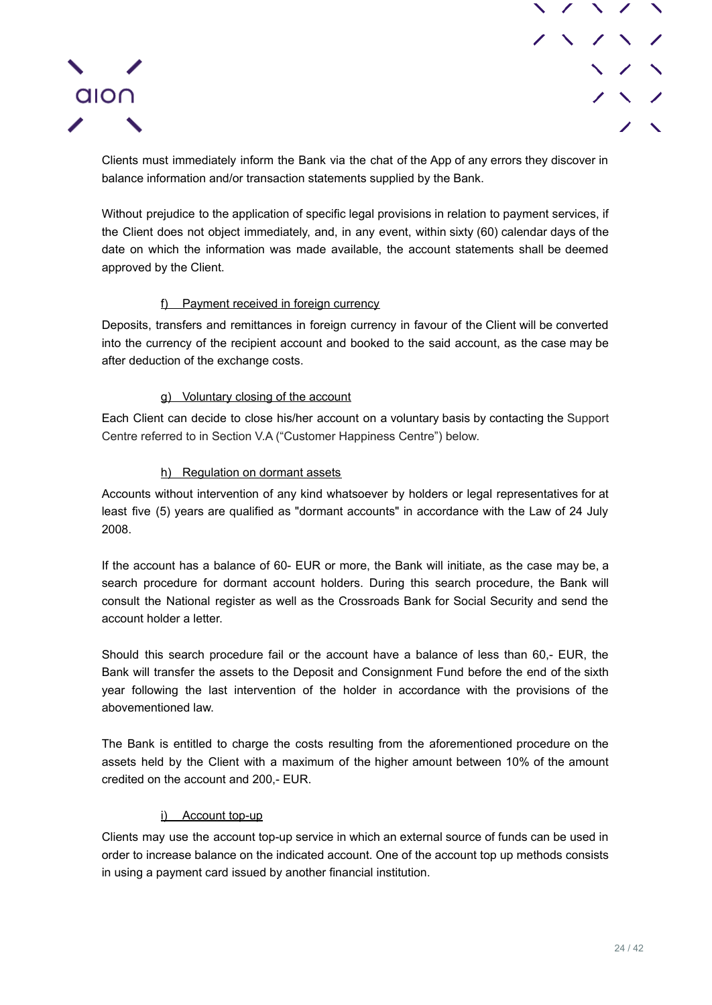



Clients must immediately inform the Bank via the chat of the App of any errors they discover in balance information and/or transaction statements supplied by the Bank.

Without prejudice to the application of specific legal provisions in relation to payment services, if the Client does not object immediately, and, in any event, within sixty (60) calendar days of the date on which the information was made available, the account statements shall be deemed approved by the Client.

#### f) Payment received in foreign currency

<span id="page-23-0"></span>Deposits, transfers and remittances in foreign currency in favour of the Client will be converted into the currency of the recipient account and booked to the said account, as the case may be after deduction of the exchange costs.

#### g) Voluntary closing of the account

<span id="page-23-1"></span>Each Client can decide to close his/her account on a voluntary basis by contacting the Support Centre referred to in Section V.A ("Customer Happiness Centre") below.

#### h) Regulation on dormant assets

<span id="page-23-2"></span>Accounts without intervention of any kind whatsoever by holders or legal representatives for at least five (5) years are qualified as "dormant accounts" in accordance with the Law of 24 July 2008.

If the account has a balance of 60- EUR or more, the Bank will initiate, as the case may be, a search procedure for dormant account holders. During this search procedure, the Bank will consult the National register as well as the Crossroads Bank for Social Security and send the account holder a letter.

Should this search procedure fail or the account have a balance of less than 60,- EUR, the Bank will transfer the assets to the Deposit and Consignment Fund before the end of the sixth year following the last intervention of the holder in accordance with the provisions of the abovementioned law.

The Bank is entitled to charge the costs resulting from the aforementioned procedure on the assets held by the Client with a maximum of the higher amount between 10% of the amount credited on the account and 200,- EUR.

## i) Account top-up

<span id="page-23-3"></span>Clients may use the account top-up service in which an external source of funds can be used in order to increase balance on the indicated account. One of the account top up methods consists in using a payment card issued by another financial institution.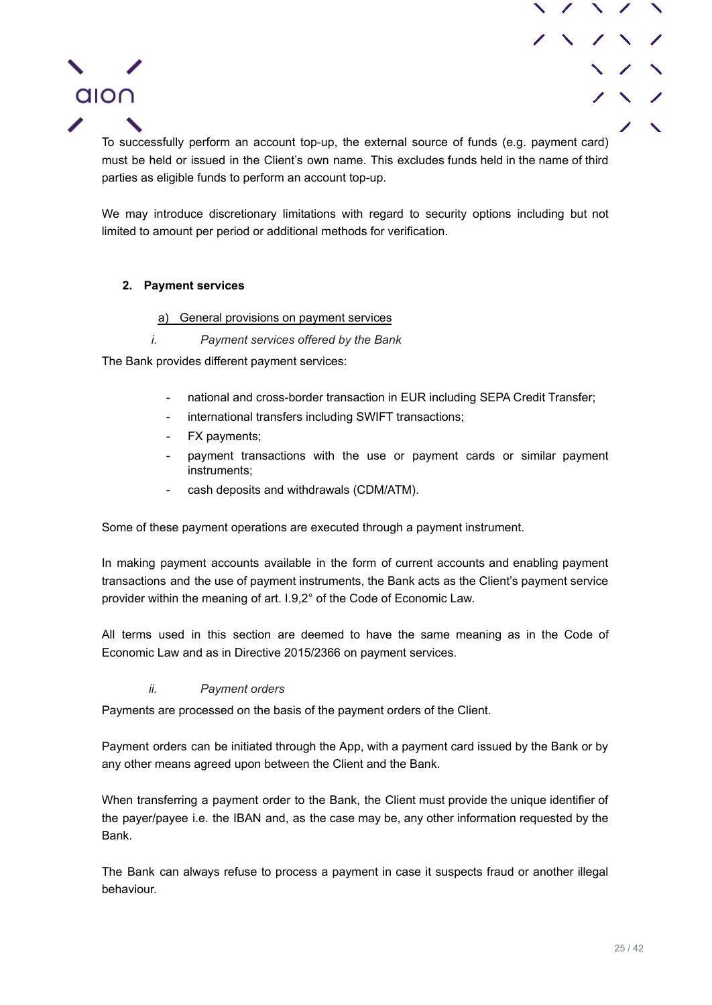To successfully perform an account top-up, the external source of funds (e.g. payment card) must be held or issued in the Client's own name. This excludes funds held in the name of third parties as eligible funds to perform an account top-up.

We may introduce discretionary limitations with regard to security options including but not limited to amount per period or additional methods for verification.

## <span id="page-24-0"></span>**2. Payment services**

aion

#### a) General provisions on payment services

#### *i. Payment services offered by the Bank*

<span id="page-24-2"></span><span id="page-24-1"></span>The Bank provides different payment services:

- national and cross-border transaction in EUR including SEPA Credit Transfer;
- international transfers including SWIFT transactions;
- FX payments;
- payment transactions with the use or payment cards or similar payment instruments;
- cash deposits and withdrawals (CDM/ATM).

Some of these payment operations are executed through a payment instrument.

In making payment accounts available in the form of current accounts and enabling payment transactions and the use of payment instruments, the Bank acts as the Client's payment service provider within the meaning of art. I.9,2° of the Code of Economic Law.

All terms used in this section are deemed to have the same meaning as in the Code of Economic Law and as in Directive 2015/2366 on payment services.

#### *ii. Payment orders*

<span id="page-24-3"></span>Payments are processed on the basis of the payment orders of the Client.

Payment orders can be initiated through the App, with a payment card issued by the Bank or by any other means agreed upon between the Client and the Bank.

When transferring a payment order to the Bank, the Client must provide the unique identifier of the payer/payee i.e. the IBAN and, as the case may be, any other information requested by the Bank.

The Bank can always refuse to process a payment in case it suspects fraud or another illegal behaviour.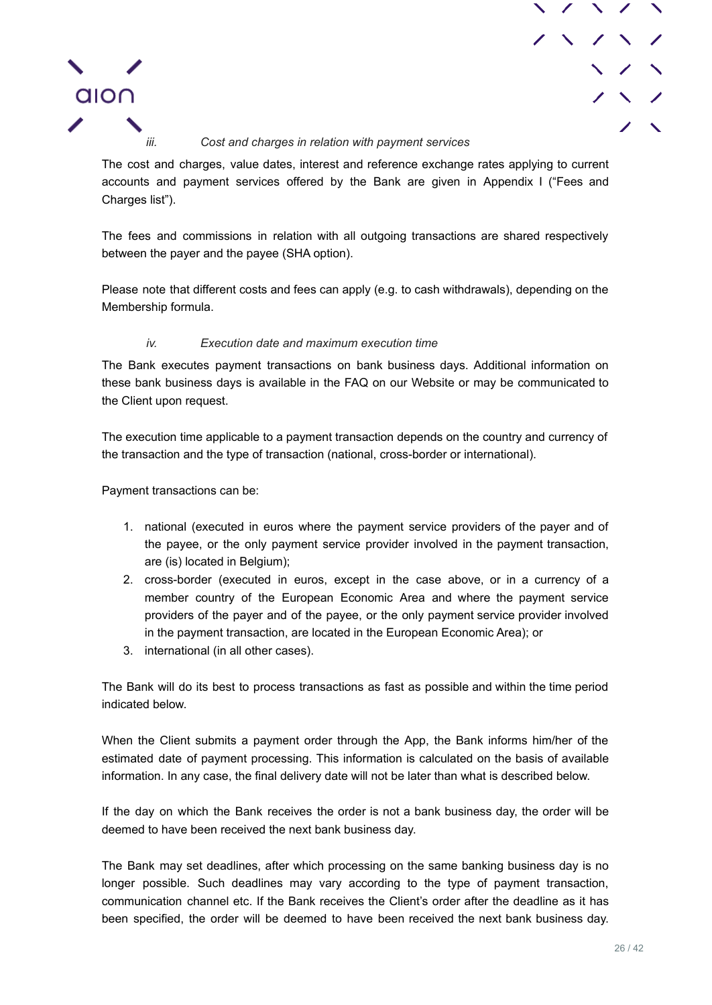

#### *iii. Cost and charges in relation with payment services*

<span id="page-25-0"></span>The cost and charges, value dates, interest and reference exchange rates applying to current accounts and payment services offered by the Bank are given in Appendix I ("Fees and Charges list").

The fees and commissions in relation with all outgoing transactions are shared respectively between the payer and the payee (SHA option).

Please note that different costs and fees can apply (e.g. to cash withdrawals), depending on the Membership formula.

#### *iv. Execution date and maximum execution time*

<span id="page-25-1"></span>The Bank executes payment transactions on bank business days. Additional information on these bank business days is available in the FAQ on our Website or may be communicated to the Client upon request.

The execution time applicable to a payment transaction depends on the country and currency of the transaction and the type of transaction (national, cross-border or international).

Payment transactions can be:

- 1. national (executed in euros where the payment service providers of the payer and of the payee, or the only payment service provider involved in the payment transaction, are (is) located in Belgium);
- 2. cross-border (executed in euros, except in the case above, or in a currency of a member country of the European Economic Area and where the payment service providers of the payer and of the payee, or the only payment service provider involved in the payment transaction, are located in the European Economic Area); or
- 3. international (in all other cases).

The Bank will do its best to process transactions as fast as possible and within the time period indicated below.

When the Client submits a payment order through the App, the Bank informs him/her of the estimated date of payment processing. This information is calculated on the basis of available information. In any case, the final delivery date will not be later than what is described below.

If the day on which the Bank receives the order is not a bank business day, the order will be deemed to have been received the next bank business day.

The Bank may set deadlines, after which processing on the same banking business day is no longer possible. Such deadlines may vary according to the type of payment transaction, communication channel etc. If the Bank receives the Client's order after the deadline as it has been specified, the order will be deemed to have been received the next bank business day.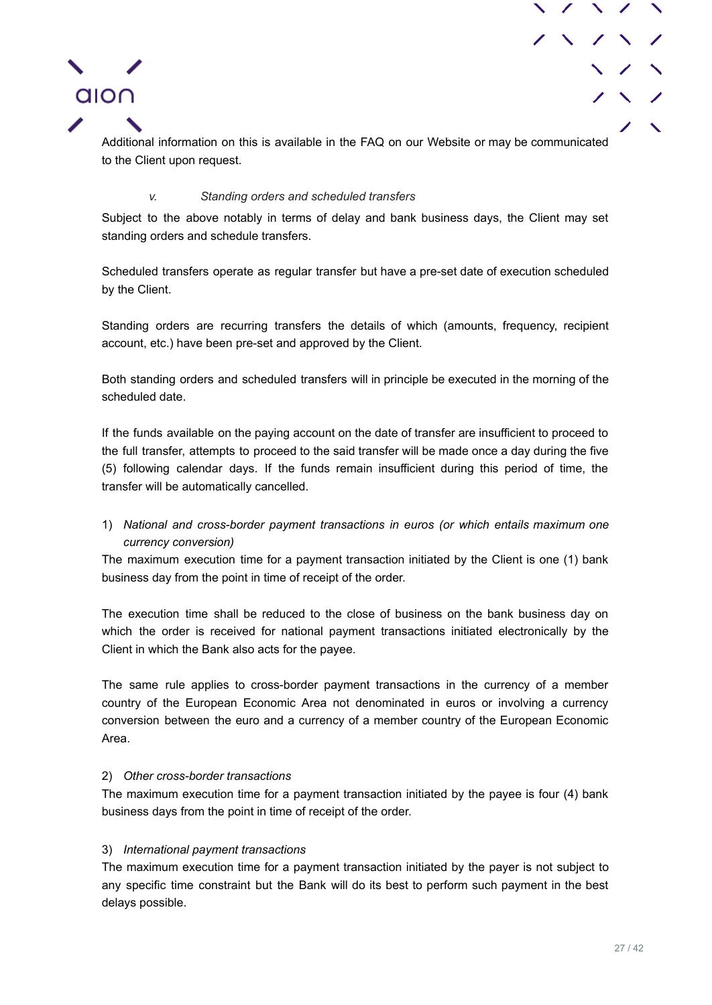



Additional information on this is available in the FAQ on our Website or may be communicated to the Client upon request.

## *v. Standing orders and scheduled transfers*

<span id="page-26-0"></span>Subject to the above notably in terms of delay and bank business days, the Client may set standing orders and schedule transfers.

Scheduled transfers operate as regular transfer but have a pre-set date of execution scheduled by the Client.

Standing orders are recurring transfers the details of which (amounts, frequency, recipient account, etc.) have been pre-set and approved by the Client.

Both standing orders and scheduled transfers will in principle be executed in the morning of the scheduled date.

If the funds available on the paying account on the date of transfer are insufficient to proceed to the full transfer, attempts to proceed to the said transfer will be made once a day during the five (5) following calendar days. If the funds remain insufficient during this period of time, the transfer will be automatically cancelled.

1) *National and cross-border payment transactions in euros (or which entails maximum one currency conversion)*

The maximum execution time for a payment transaction initiated by the Client is one (1) bank business day from the point in time of receipt of the order.

The execution time shall be reduced to the close of business on the bank business day on which the order is received for national payment transactions initiated electronically by the Client in which the Bank also acts for the payee.

The same rule applies to cross-border payment transactions in the currency of a member country of the European Economic Area not denominated in euros or involving a currency conversion between the euro and a currency of a member country of the European Economic Area.

#### 2) *Other cross-border transactions*

The maximum execution time for a payment transaction initiated by the payee is four (4) bank business days from the point in time of receipt of the order.

## 3) *International payment transactions*

The maximum execution time for a payment transaction initiated by the payer is not subject to any specific time constraint but the Bank will do its best to perform such payment in the best delays possible.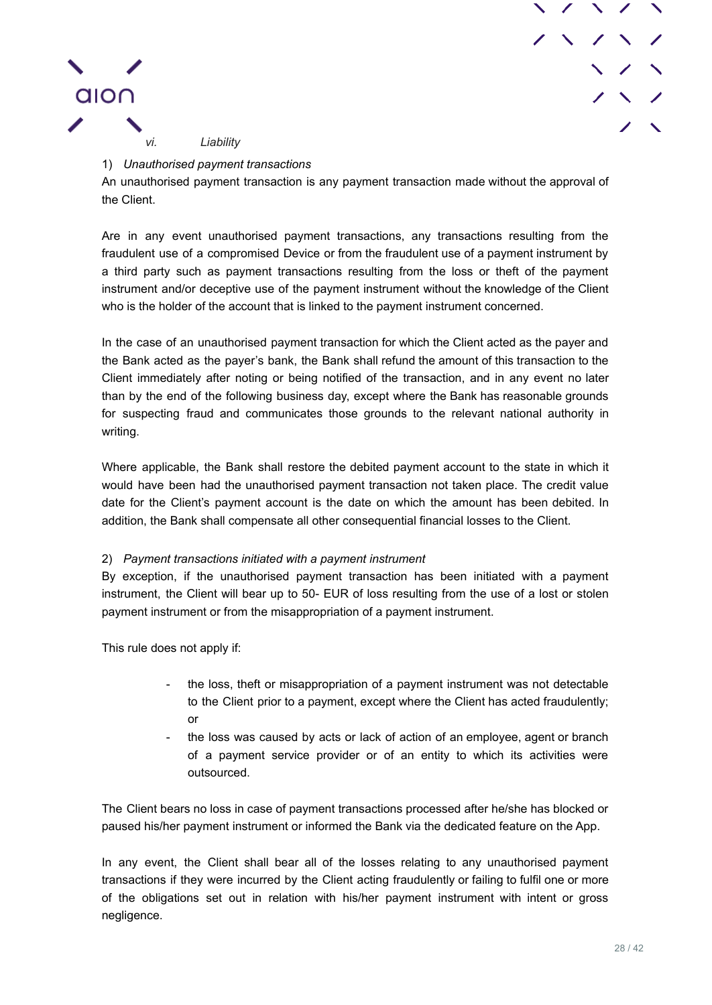



## <span id="page-27-0"></span>1) *Unauthorised payment transactions*

An unauthorised payment transaction is any payment transaction made without the approval of the Client.

Are in any event unauthorised payment transactions, any transactions resulting from the fraudulent use of a compromised Device or from the fraudulent use of a payment instrument by a third party such as payment transactions resulting from the loss or theft of the payment instrument and/or deceptive use of the payment instrument without the knowledge of the Client who is the holder of the account that is linked to the payment instrument concerned.

In the case of an unauthorised payment transaction for which the Client acted as the payer and the Bank acted as the payer's bank, the Bank shall refund the amount of this transaction to the Client immediately after noting or being notified of the transaction, and in any event no later than by the end of the following business day, except where the Bank has reasonable grounds for suspecting fraud and communicates those grounds to the relevant national authority in writing.

Where applicable, the Bank shall restore the debited payment account to the state in which it would have been had the unauthorised payment transaction not taken place. The credit value date for the Client's payment account is the date on which the amount has been debited. In addition, the Bank shall compensate all other consequential financial losses to the Client.

#### 2) *Payment transactions initiated with a payment instrument*

By exception, if the unauthorised payment transaction has been initiated with a payment instrument, the Client will bear up to 50- EUR of loss resulting from the use of a lost or stolen payment instrument or from the misappropriation of a payment instrument.

This rule does not apply if:

- the loss, theft or misappropriation of a payment instrument was not detectable to the Client prior to a payment, except where the Client has acted fraudulently; or
- the loss was caused by acts or lack of action of an employee, agent or branch of a payment service provider or of an entity to which its activities were outsourced.

The Client bears no loss in case of payment transactions processed after he/she has blocked or paused his/her payment instrument or informed the Bank via the dedicated feature on the App.

In any event, the Client shall bear all of the losses relating to any unauthorised payment transactions if they were incurred by the Client acting fraudulently or failing to fulfil one or more of the obligations set out in relation with his/her payment instrument with intent or gross negligence.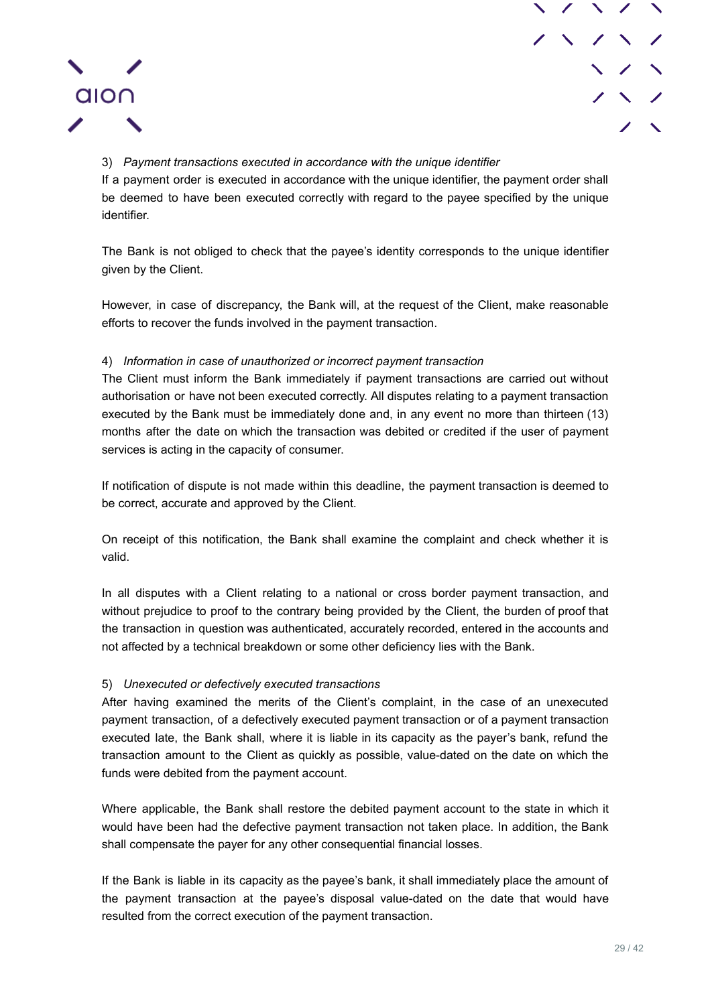

## 3) *Payment transactions executed in accordance with the unique identifier*

**QION** 

If a payment order is executed in accordance with the unique identifier, the payment order shall be deemed to have been executed correctly with regard to the payee specified by the unique identifier.

The Bank is not obliged to check that the payee's identity corresponds to the unique identifier given by the Client.

However, in case of discrepancy, the Bank will, at the request of the Client, make reasonable efforts to recover the funds involved in the payment transaction.

#### 4) *Information in case of unauthorized or incorrect payment transaction*

The Client must inform the Bank immediately if payment transactions are carried out without authorisation or have not been executed correctly. All disputes relating to a payment transaction executed by the Bank must be immediately done and, in any event no more than thirteen (13) months after the date on which the transaction was debited or credited if the user of payment services is acting in the capacity of consumer.

If notification of dispute is not made within this deadline, the payment transaction is deemed to be correct, accurate and approved by the Client.

On receipt of this notification, the Bank shall examine the complaint and check whether it is valid.

In all disputes with a Client relating to a national or cross border payment transaction, and without prejudice to proof to the contrary being provided by the Client, the burden of proof that the transaction in question was authenticated, accurately recorded, entered in the accounts and not affected by a technical breakdown or some other deficiency lies with the Bank.

#### 5) *Unexecuted or defectively executed transactions*

After having examined the merits of the Client's complaint, in the case of an unexecuted payment transaction, of a defectively executed payment transaction or of a payment transaction executed late, the Bank shall, where it is liable in its capacity as the payer's bank, refund the transaction amount to the Client as quickly as possible, value-dated on the date on which the funds were debited from the payment account.

Where applicable, the Bank shall restore the debited payment account to the state in which it would have been had the defective payment transaction not taken place. In addition, the Bank shall compensate the payer for any other consequential financial losses.

If the Bank is liable in its capacity as the payee's bank, it shall immediately place the amount of the payment transaction at the payee's disposal value-dated on the date that would have resulted from the correct execution of the payment transaction.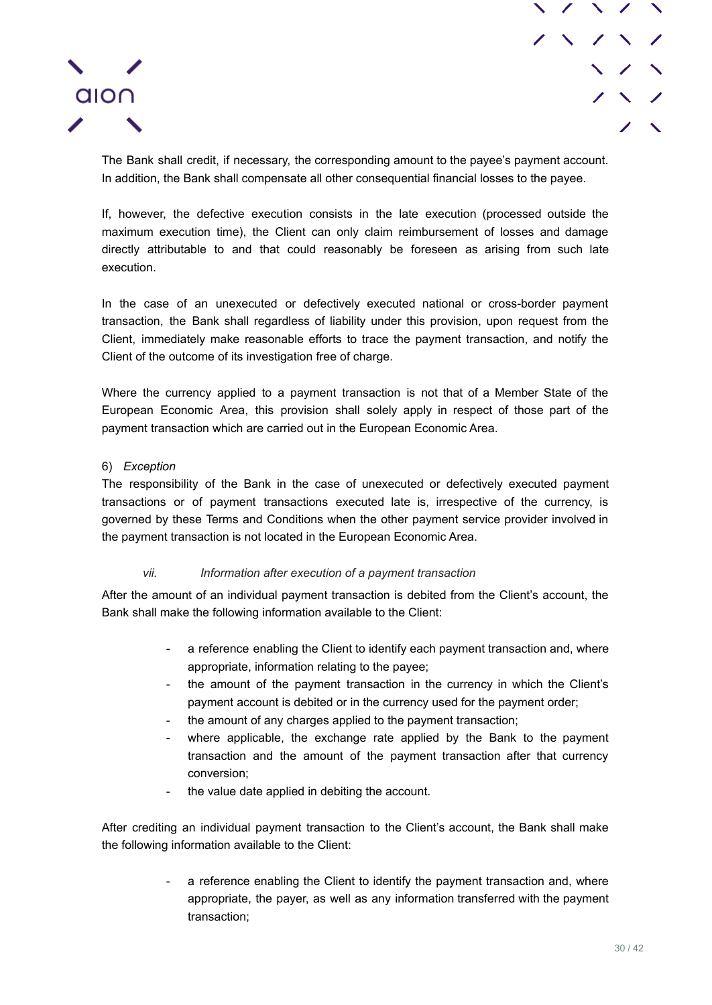



The Bank shall credit, if necessary, the corresponding amount to the payee's payment account. In addition, the Bank shall compensate all other consequential financial losses to the payee.

If, however, the defective execution consists in the late execution (processed outside the maximum execution time), the Client can only claim reimbursement of losses and damage directly attributable to and that could reasonably be foreseen as arising from such late execution.

In the case of an unexecuted or defectively executed national or cross-border payment transaction, the Bank shall regardless of liability under this provision, upon request from the Client, immediately make reasonable efforts to trace the payment transaction, and notify the Client of the outcome of its investigation free of charge.

Where the currency applied to a payment transaction is not that of a Member State of the European Economic Area, this provision shall solely apply in respect of those part of the payment transaction which are carried out in the European Economic Area.

#### 6) *Exception*

The responsibility of the Bank in the case of unexecuted or defectively executed payment transactions or of payment transactions executed late is, irrespective of the currency, is governed by these Terms and Conditions when the other payment service provider involved in the payment transaction is not located in the European Economic Area.

#### *vii. Information after execution of a payment transaction*

<span id="page-29-0"></span>After the amount of an individual payment transaction is debited from the Client's account, the Bank shall make the following information available to the Client:

- a reference enabling the Client to identify each payment transaction and, where appropriate, information relating to the payee;
- the amount of the payment transaction in the currency in which the Client's payment account is debited or in the currency used for the payment order;
- the amount of any charges applied to the payment transaction;
- where applicable, the exchange rate applied by the Bank to the payment transaction and the amount of the payment transaction after that currency conversion;
- the value date applied in debiting the account.

After crediting an individual payment transaction to the Client's account, the Bank shall make the following information available to the Client:

> a reference enabling the Client to identify the payment transaction and, where appropriate, the payer, as well as any information transferred with the payment transaction;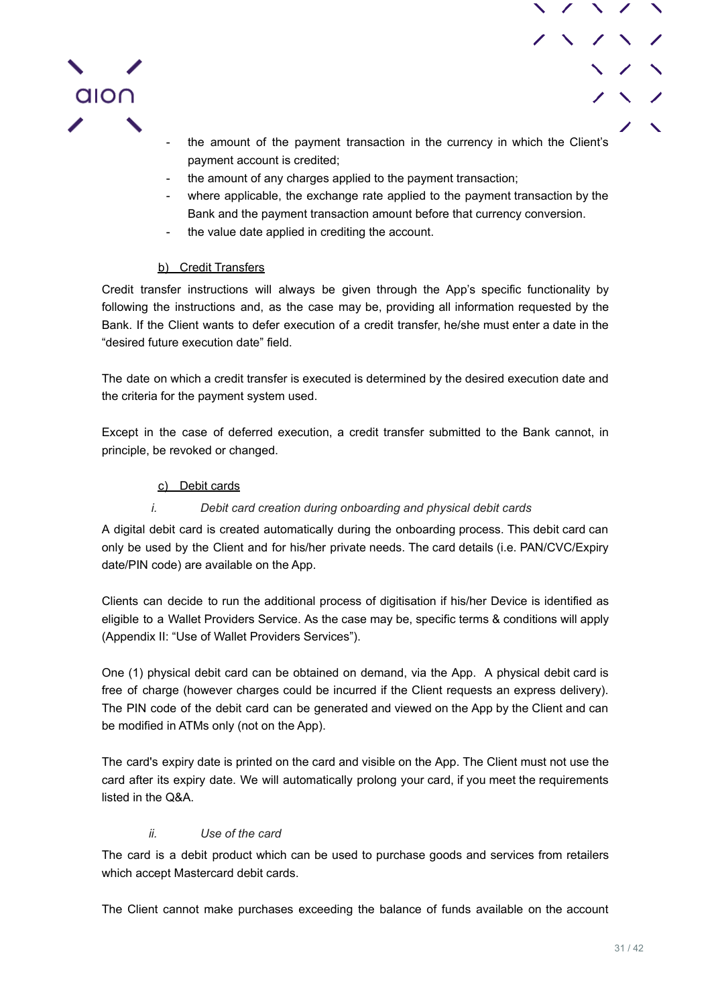

- 
- the amount of the payment transaction in the currency in which the Client's payment account is credited;
- the amount of any charges applied to the payment transaction;
- where applicable, the exchange rate applied to the payment transaction by the Bank and the payment transaction amount before that currency conversion.
- the value date applied in crediting the account.

## b) Credit Transfers

<span id="page-30-0"></span>Credit transfer instructions will always be given through the App's specific functionality by following the instructions and, as the case may be, providing all information requested by the Bank. If the Client wants to defer execution of a credit transfer, he/she must enter a date in the "desired future execution date" field.

The date on which a credit transfer is executed is determined by the desired execution date and the criteria for the payment system used.

Except in the case of deferred execution, a credit transfer submitted to the Bank cannot, in principle, be revoked or changed.

## c) Debit cards

## *i. Debit card creation during onboarding and physical debit cards*

<span id="page-30-2"></span><span id="page-30-1"></span>A digital debit card is created automatically during the onboarding process. This debit card can only be used by the Client and for his/her private needs. The card details (i.e. PAN/CVC/Expiry date/PIN code) are available on the App.

Clients can decide to run the additional process of digitisation if his/her Device is identified as eligible to a Wallet Providers Service. As the case may be, specific terms & conditions will apply (Appendix II: "Use of Wallet Providers Services").

One (1) physical debit card can be obtained on demand, via the App. A physical debit card is free of charge (however charges could be incurred if the Client requests an express delivery). The PIN code of the debit card can be generated and viewed on the App by the Client and can be modified in ATMs only (not on the App).

The card's expiry date is printed on the card and visible on the App. The Client must not use the card after its expiry date. We will automatically prolong your card, if you meet the requirements listed in the Q&A.

## *ii. Use of the card*

<span id="page-30-3"></span>The card is a debit product which can be used to purchase goods and services from retailers which accept Mastercard debit cards.

The Client cannot make purchases exceeding the balance of funds available on the account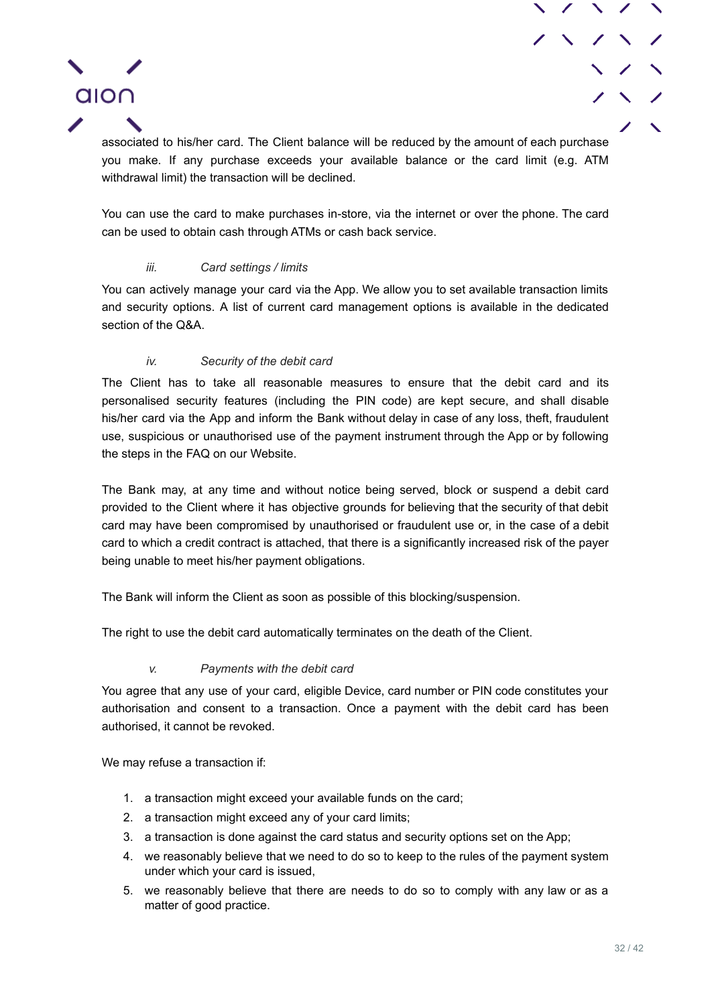

associated to his/her card. The Client balance will be reduced by the amount of each purchase you make. If any purchase exceeds your available balance or the card limit (e.g. ATM withdrawal limit) the transaction will be declined.

You can use the card to make purchases in-store, via the internet or over the phone. The card can be used to obtain cash through ATMs or cash back service.

## *iii. Card settings / limits*

aion

<span id="page-31-0"></span>You can actively manage your card via the App. We allow you to set available transaction limits and security options. A list of current card management options is available in the dedicated section of the Q&A.

#### *iv. Security of the debit card*

<span id="page-31-1"></span>The Client has to take all reasonable measures to ensure that the debit card and its personalised security features (including the PIN code) are kept secure, and shall disable his/her card via the App and inform the Bank without delay in case of any loss, theft, fraudulent use, suspicious or unauthorised use of the payment instrument through the App or by following the steps in the FAQ on our Website.

The Bank may, at any time and without notice being served, block or suspend a debit card provided to the Client where it has objective grounds for believing that the security of that debit card may have been compromised by unauthorised or fraudulent use or, in the case of a debit card to which a credit contract is attached, that there is a significantly increased risk of the payer being unable to meet his/her payment obligations.

The Bank will inform the Client as soon as possible of this blocking/suspension.

The right to use the debit card automatically terminates on the death of the Client.

#### *v. Payments with the debit card*

<span id="page-31-2"></span>You agree that any use of your card, eligible Device, card number or PIN code constitutes your authorisation and consent to a transaction. Once a payment with the debit card has been authorised, it cannot be revoked.

We may refuse a transaction if:

- 1. a transaction might exceed your available funds on the card;
- 2. a transaction might exceed any of your card limits;
- 3. a transaction is done against the card status and security options set on the App;
- 4. we reasonably believe that we need to do so to keep to the rules of the payment system under which your card is issued,
- 5. we reasonably believe that there are needs to do so to comply with any law or as a matter of good practice.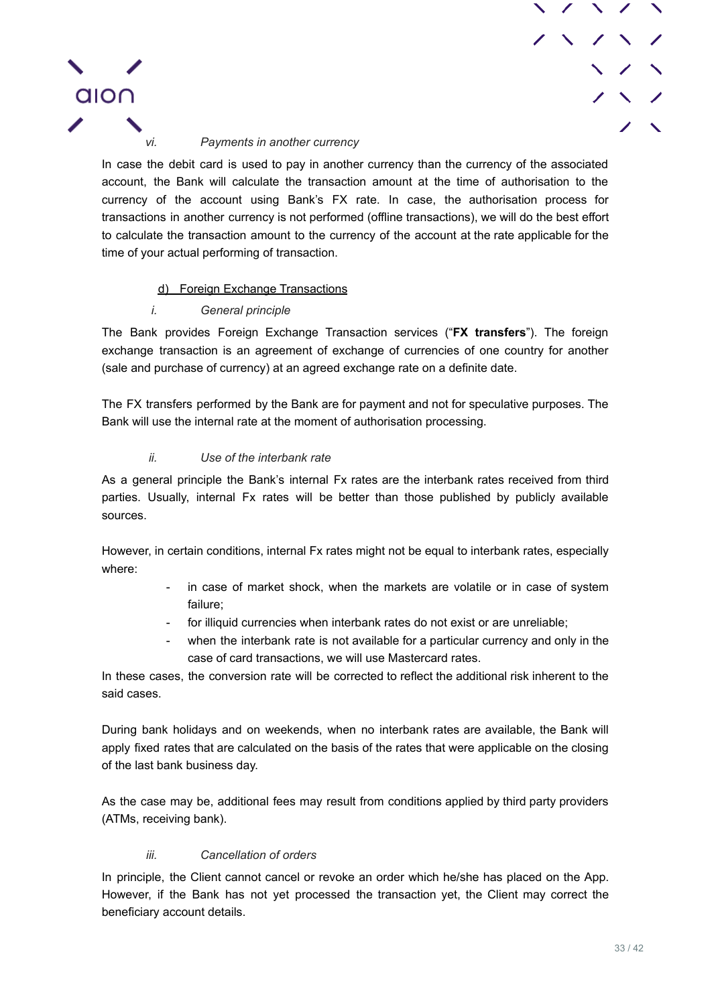

#### *vi. Payments in another currency*

<span id="page-32-0"></span>In case the debit card is used to pay in another currency than the currency of the associated account, the Bank will calculate the transaction amount at the time of authorisation to the currency of the account using Bank's FX rate. In case, the authorisation process for transactions in another currency is not performed (offline transactions), we will do the best effort to calculate the transaction amount to the currency of the account at the rate applicable for the time of your actual performing of transaction.

#### d) Foreign Exchange Transactions

#### *i. General principle*

<span id="page-32-2"></span><span id="page-32-1"></span>The Bank provides Foreign Exchange Transaction services ("**FX transfers**"). The foreign exchange transaction is an agreement of exchange of currencies of one country for another (sale and purchase of currency) at an agreed exchange rate on a definite date.

The FX transfers performed by the Bank are for payment and not for speculative purposes. The Bank will use the internal rate at the moment of authorisation processing.

#### *ii. Use of the interbank rate*

<span id="page-32-3"></span>As a general principle the Bank's internal Fx rates are the interbank rates received from third parties. Usually, internal Fx rates will be better than those published by publicly available sources.

However, in certain conditions, internal Fx rates might not be equal to interbank rates, especially where:

- in case of market shock, when the markets are volatile or in case of system failure;
- for illiquid currencies when interbank rates do not exist or are unreliable;
- when the interbank rate is not available for a particular currency and only in the case of card transactions, we will use Mastercard rates.

In these cases, the conversion rate will be corrected to reflect the additional risk inherent to the said cases.

During bank holidays and on weekends, when no interbank rates are available, the Bank will apply fixed rates that are calculated on the basis of the rates that were applicable on the closing of the last bank business day.

As the case may be, additional fees may result from conditions applied by third party providers (ATMs, receiving bank).

## *iii. Cancellation of orders*

<span id="page-32-4"></span>In principle, the Client cannot cancel or revoke an order which he/she has placed on the App. However, if the Bank has not yet processed the transaction yet, the Client may correct the beneficiary account details.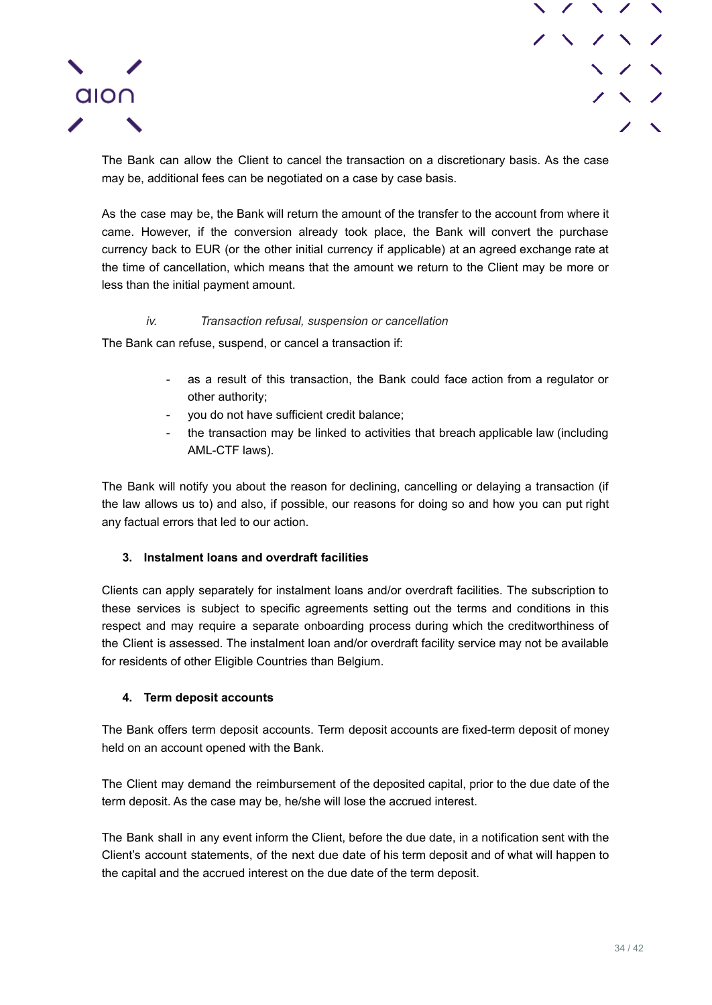



The Bank can allow the Client to cancel the transaction on a discretionary basis. As the case may be, additional fees can be negotiated on a case by case basis.

As the case may be, the Bank will return the amount of the transfer to the account from where it came. However, if the conversion already took place, the Bank will convert the purchase currency back to EUR (or the other initial currency if applicable) at an agreed exchange rate at the time of cancellation, which means that the amount we return to the Client may be more or less than the initial payment amount.

#### *iv. Transaction refusal, suspension or cancellation*

<span id="page-33-0"></span>The Bank can refuse, suspend, or cancel a transaction if:

- as a result of this transaction, the Bank could face action from a regulator or other authority;
- you do not have sufficient credit balance;
- the transaction may be linked to activities that breach applicable law (including AML-CTF laws).

The Bank will notify you about the reason for declining, cancelling or delaying a transaction (if the law allows us to) and also, if possible, our reasons for doing so and how you can put right any factual errors that led to our action.

### **3. Instalment loans and overdraft facilities**

<span id="page-33-1"></span>Clients can apply separately for instalment loans and/or overdraft facilities. The subscription to these services is subject to specific agreements setting out the terms and conditions in this respect and may require a separate onboarding process during which the creditworthiness of the Client is assessed. The instalment loan and/or overdraft facility service may not be available for residents of other Eligible Countries than Belgium.

#### **4. Term deposit accounts**

<span id="page-33-2"></span>The Bank offers term deposit accounts. Term deposit accounts are fixed-term deposit of money held on an account opened with the Bank.

The Client may demand the reimbursement of the deposited capital, prior to the due date of the term deposit. As the case may be, he/she will lose the accrued interest.

The Bank shall in any event inform the Client, before the due date, in a notification sent with the Client's account statements, of the next due date of his term deposit and of what will happen to the capital and the accrued interest on the due date of the term deposit.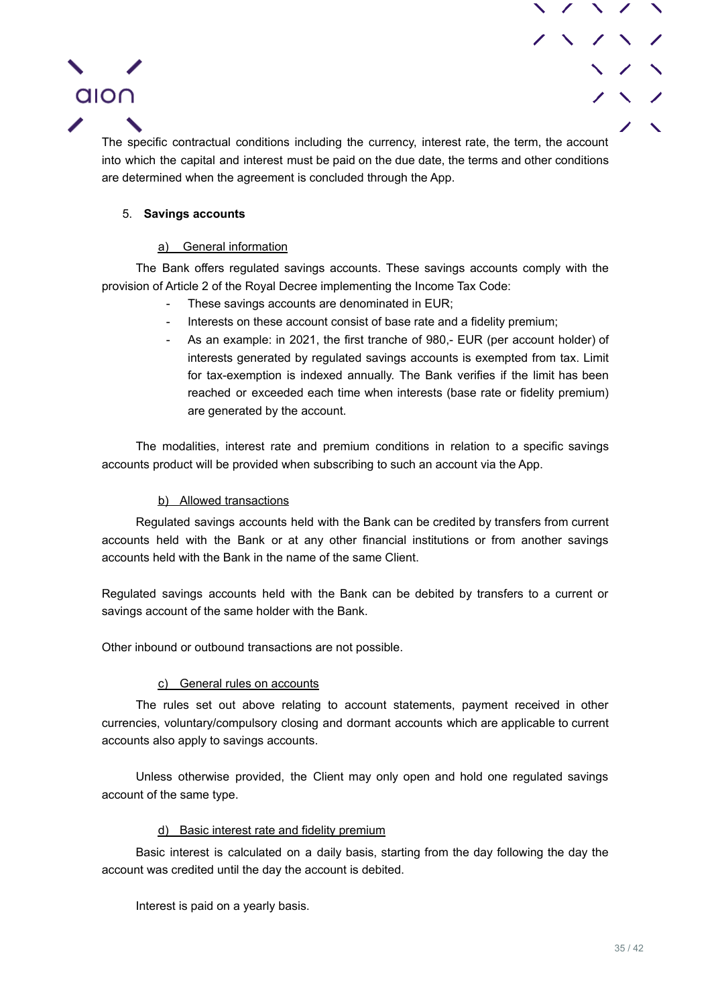

The specific contractual conditions including the currency, interest rate, the term, the account into which the capital and interest must be paid on the due date, the terms and other conditions are determined when the agreement is concluded through the App.

## <span id="page-34-0"></span>5. **Savings accounts**

## a) General information

<span id="page-34-1"></span>The Bank offers regulated savings accounts. These savings accounts comply with the provision of Article 2 of the Royal Decree implementing the Income Tax Code:

- These savings accounts are denominated in EUR;
- Interests on these account consist of base rate and a fidelity premium;
- As an example: in 2021, the first tranche of 980,- EUR (per account holder) of interests generated by regulated savings accounts is exempted from tax. Limit for tax-exemption is indexed annually. The Bank verifies if the limit has been reached or exceeded each time when interests (base rate or fidelity premium) are generated by the account.

The modalities, interest rate and premium conditions in relation to a specific savings accounts product will be provided when subscribing to such an account via the App.

## b) Allowed transactions

<span id="page-34-2"></span>Regulated savings accounts held with the Bank can be credited by transfers from current accounts held with the Bank or at any other financial institutions or from another savings accounts held with the Bank in the name of the same Client.

Regulated savings accounts held with the Bank can be debited by transfers to a current or savings account of the same holder with the Bank.

Other inbound or outbound transactions are not possible.

#### c) General rules on accounts

<span id="page-34-3"></span>The rules set out above relating to account statements, payment received in other currencies, voluntary/compulsory closing and dormant accounts which are applicable to current accounts also apply to savings accounts.

Unless otherwise provided, the Client may only open and hold one regulated savings account of the same type.

## d) Basic interest rate and fidelity premium

<span id="page-34-4"></span>Basic interest is calculated on a daily basis, starting from the day following the day the account was credited until the day the account is debited.

Interest is paid on a yearly basis.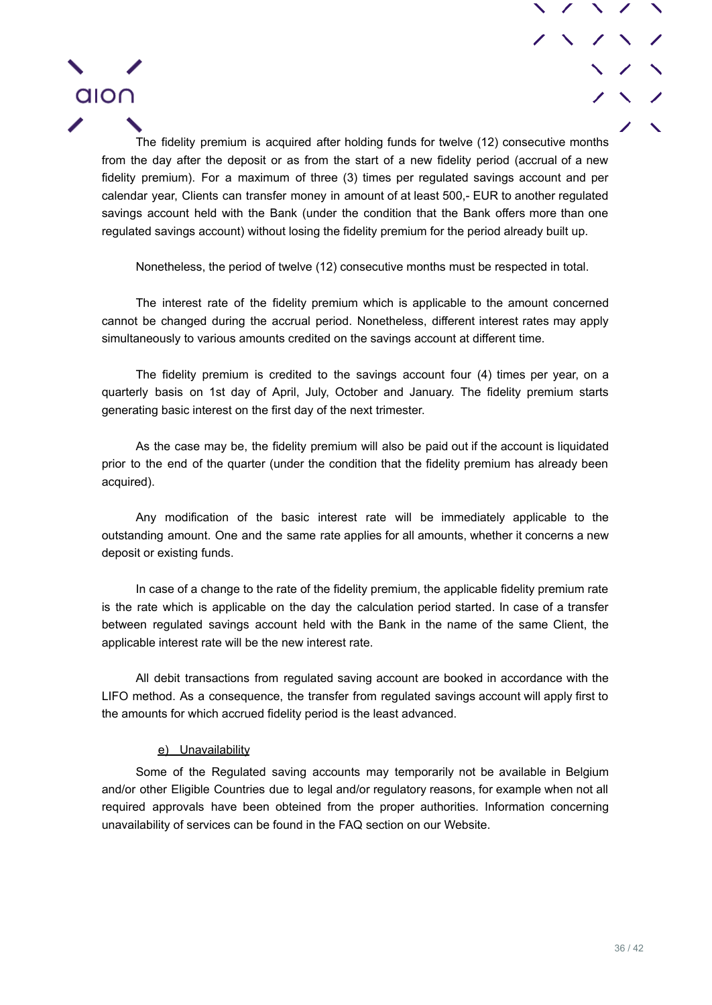The fidelity premium is acquired after holding funds for twelve (12) consecutive months from the day after the deposit or as from the start of a new fidelity period (accrual of a new fidelity premium). For a maximum of three (3) times per regulated savings account and per calendar year, Clients can transfer money in amount of at least 500,- EUR to another regulated savings account held with the Bank (under the condition that the Bank offers more than one regulated savings account) without losing the fidelity premium for the period already built up.

Nonetheless, the period of twelve (12) consecutive months must be respected in total.

The interest rate of the fidelity premium which is applicable to the amount concerned cannot be changed during the accrual period. Nonetheless, different interest rates may apply simultaneously to various amounts credited on the savings account at different time.

The fidelity premium is credited to the savings account four (4) times per year, on a quarterly basis on 1st day of April, July, October and January. The fidelity premium starts generating basic interest on the first day of the next trimester.

As the case may be, the fidelity premium will also be paid out if the account is liquidated prior to the end of the quarter (under the condition that the fidelity premium has already been acquired).

Any modification of the basic interest rate will be immediately applicable to the outstanding amount. One and the same rate applies for all amounts, whether it concerns a new deposit or existing funds.

In case of a change to the rate of the fidelity premium, the applicable fidelity premium rate is the rate which is applicable on the day the calculation period started. In case of a transfer between regulated savings account held with the Bank in the name of the same Client, the applicable interest rate will be the new interest rate.

All debit transactions from regulated saving account are booked in accordance with the LIFO method. As a consequence, the transfer from regulated savings account will apply first to the amounts for which accrued fidelity period is the least advanced.

#### e) Unavailability

alon

<span id="page-35-0"></span>Some of the Regulated saving accounts may temporarily not be available in Belgium and/or other Eligible Countries due to legal and/or regulatory reasons, for example when not all required approvals have been obteined from the proper authorities. Information concerning unavailability of services can be found in the FAQ section on our Website[.](https://www.aion.be/en/questions/faq/)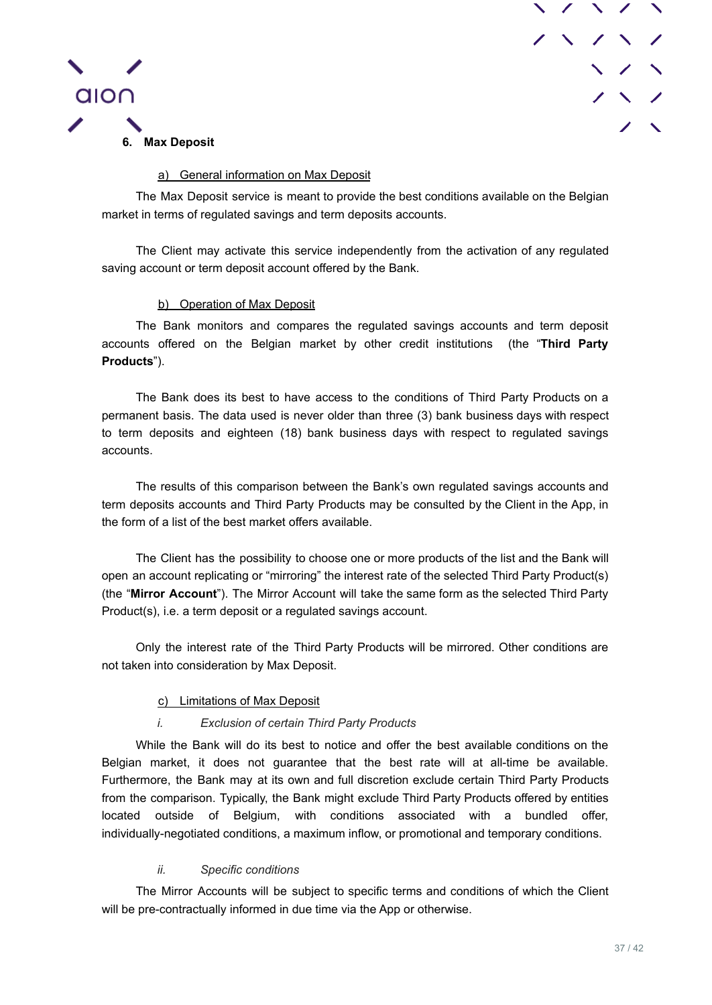



## a) General information on Max Deposit

<span id="page-36-1"></span><span id="page-36-0"></span>The Max Deposit service is meant to provide the best conditions available on the Belgian market in terms of regulated savings and term deposits accounts.

The Client may activate this service independently from the activation of any regulated saving account or term deposit account offered by the Bank.

#### b) Operation of Max Deposit

<span id="page-36-2"></span>The Bank monitors and compares the regulated savings accounts and term deposit accounts offered on the Belgian market by other credit institutions (the "**Third Party Products**").

The Bank does its best to have access to the conditions of Third Party Products on a permanent basis. The data used is never older than three (3) bank business days with respect to term deposits and eighteen (18) bank business days with respect to regulated savings accounts.

The results of this comparison between the Bank's own regulated savings accounts and term deposits accounts and Third Party Products may be consulted by the Client in the App, in the form of a list of the best market offers available.

The Client has the possibility to choose one or more products of the list and the Bank will open an account replicating or "mirroring" the interest rate of the selected Third Party Product(s) (the "**Mirror Account**"). The Mirror Account will take the same form as the selected Third Party Product(s), i.e. a term deposit or a regulated savings account.

Only the interest rate of the Third Party Products will be mirrored. Other conditions are not taken into consideration by Max Deposit.

#### c) Limitations of Max Deposit

#### *i. Exclusion of certain Third Party Products*

<span id="page-36-4"></span><span id="page-36-3"></span>While the Bank will do its best to notice and offer the best available conditions on the Belgian market, it does not guarantee that the best rate will at all-time be available. Furthermore, the Bank may at its own and full discretion exclude certain Third Party Products from the comparison. Typically, the Bank might exclude Third Party Products offered by entities located outside of Belgium, with conditions associated with a bundled offer, individually-negotiated conditions, a maximum inflow, or promotional and temporary conditions.

#### *ii. Specific conditions*

<span id="page-36-5"></span>The Mirror Accounts will be subject to specific terms and conditions of which the Client will be pre-contractually informed in due time via the App or otherwise.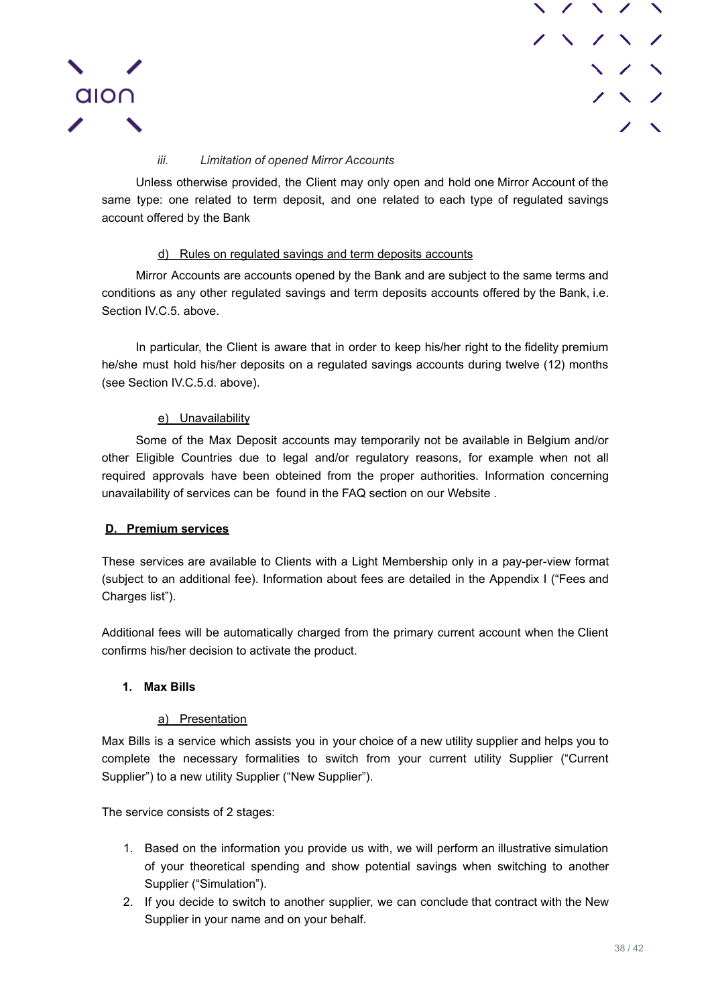



## *iii. Limitation of opened Mirror Accounts*

<span id="page-37-0"></span>Unless otherwise provided, the Client may only open and hold one Mirror Account of the same type: one related to term deposit, and one related to each type of regulated savings account offered by the Bank

#### d) Rules on regulated savings and term deposits accounts

<span id="page-37-1"></span>Mirror Accounts are accounts opened by the Bank and are subject to the same terms and conditions as any other regulated savings and term deposits accounts offered by the Bank, i.e. Section IV.C.5. above.

In particular, the Client is aware that in order to keep his/her right to the fidelity premium he/she must hold his/her deposits on a regulated savings accounts during twelve (12) months (see Section IV.C.5.d. above).

#### e) Unavailability

<span id="page-37-2"></span>Some of the Max Deposit accounts may temporarily not be available in Belgium and/or other Eligible Countries due to legal and/or regulatory reasons, for example when not all required approvals have been obteined from the proper authorities. Information concerning unavailability of services can be found in the FAQ section on our Website [.](https://www.aion.be/en/questions/faq/)

#### <span id="page-37-3"></span>**D. Premium services**

These services are available to Clients with a Light Membership only in a pay-per-view format (subject to an additional fee). Information about fees are detailed in the Appendix I ("Fees and Charges list").

Additional fees will be automatically charged from the primary current account when the Client confirms his/her decision to activate the product.

#### <span id="page-37-4"></span>**1. Max Bills**

#### a) Presentation

<span id="page-37-5"></span>Max Bills is a service which assists you in your choice of a new utility supplier and helps you to complete the necessary formalities to switch from your current utility Supplier ("Current Supplier") to a new utility Supplier ("New Supplier").

The service consists of 2 stages:

- 1. Based on the information you provide us with, we will perform an illustrative simulation of your theoretical spending and show potential savings when switching to another Supplier ("Simulation").
- 2. If you decide to switch to another supplier, we can conclude that contract with the New Supplier in your name and on your behalf.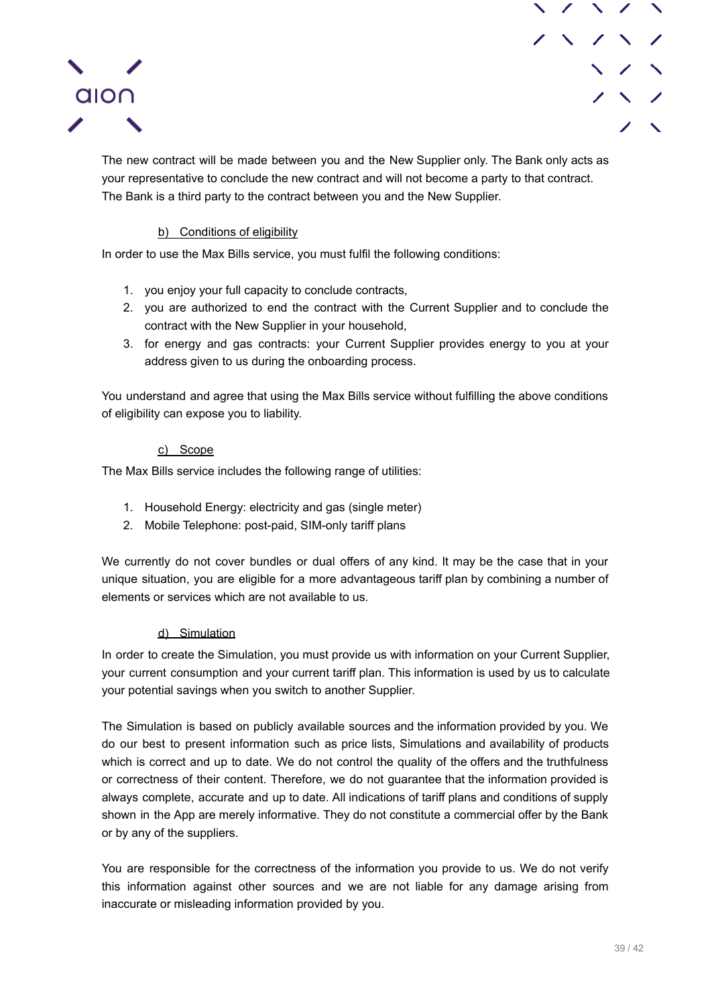



The new contract will be made between you and the New Supplier only. The Bank only acts as your representative to conclude the new contract and will not become a party to that contract. The Bank is a third party to the contract between you and the New Supplier.

## b) Conditions of eligibility

<span id="page-38-0"></span>In order to use the Max Bills service, you must fulfil the following conditions:

- 1. you enjoy your full capacity to conclude contracts,
- 2. you are authorized to end the contract with the Current Supplier and to conclude the contract with the New Supplier in your household,
- 3. for energy and gas contracts: your Current Supplier provides energy to you at your address given to us during the onboarding process.

You understand and agree that using the Max Bills service without fulfilling the above conditions of eligibility can expose you to liability.

## c) Scope

<span id="page-38-1"></span>The Max Bills service includes the following range of utilities:

- 1. Household Energy: electricity and gas (single meter)
- 2. Mobile Telephone: post-paid, SIM-only tariff plans

We currently do not cover bundles or dual offers of any kind. It may be the case that in your unique situation, you are eligible for a more advantageous tariff plan by combining a number of elements or services which are not available to us.

#### d) Simulation

<span id="page-38-2"></span>In order to create the Simulation, you must provide us with information on your Current Supplier, your current consumption and your current tariff plan. This information is used by us to calculate your potential savings when you switch to another Supplier.

The Simulation is based on publicly available sources and the information provided by you. We do our best to present information such as price lists, Simulations and availability of products which is correct and up to date. We do not control the quality of the offers and the truthfulness or correctness of their content. Therefore, we do not guarantee that the information provided is always complete, accurate and up to date. All indications of tariff plans and conditions of supply shown in the App are merely informative. They do not constitute a commercial offer by the Bank or by any of the suppliers.

You are responsible for the correctness of the information you provide to us. We do not verify this information against other sources and we are not liable for any damage arising from inaccurate or misleading information provided by you.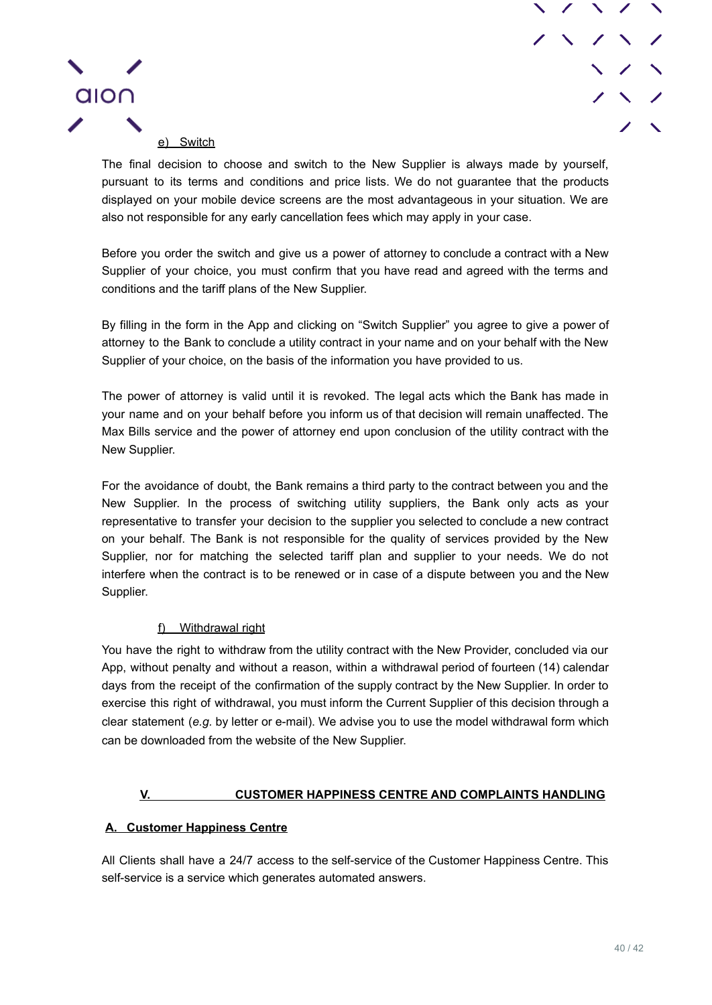



<span id="page-39-0"></span>The final decision to choose and switch to the New Supplier is always made by yourself, pursuant to its terms and conditions and price lists. We do not guarantee that the products displayed on your mobile device screens are the most advantageous in your situation. We are also not responsible for any early cancellation fees which may apply in your case.

Before you order the switch and give us a power of attorney to conclude a contract with a New Supplier of your choice, you must confirm that you have read and agreed with the terms and conditions and the tariff plans of the New Supplier.

By filling in the form in the App and clicking on "Switch Supplier" you agree to give a power of attorney to the Bank to conclude a utility contract in your name and on your behalf with the New Supplier of your choice, on the basis of the information you have provided to us.

The power of attorney is valid until it is revoked. The legal acts which the Bank has made in your name and on your behalf before you inform us of that decision will remain unaffected. The Max Bills service and the power of attorney end upon conclusion of the utility contract with the New Supplier.

For the avoidance of doubt, the Bank remains a third party to the contract between you and the New Supplier. In the process of switching utility suppliers, the Bank only acts as your representative to transfer your decision to the supplier you selected to conclude a new contract on your behalf. The Bank is not responsible for the quality of services provided by the New Supplier, nor for matching the selected tariff plan and supplier to your needs. We do not interfere when the contract is to be renewed or in case of a dispute between you and the New Supplier.

## f) Withdrawal right

<span id="page-39-1"></span>You have the right to withdraw from the utility contract with the New Provider, concluded via our App, without penalty and without a reason, within a withdrawal period of fourteen (14) calendar days from the receipt of the confirmation of the supply contract by the New Supplier. In order to exercise this right of withdrawal, you must inform the Current Supplier of this decision through a clear statement (*e.g.* by letter or e-mail). We advise you to use the model withdrawal form which can be downloaded from the website of the New Supplier.

## **V. CUSTOMER HAPPINESS CENTRE AND COMPLAINTS HANDLING**

## <span id="page-39-3"></span><span id="page-39-2"></span>**A. Customer Happiness Centre**

All Clients shall have a 24/7 access to the self-service of the Customer Happiness Centre. This self-service is a service which generates automated answers.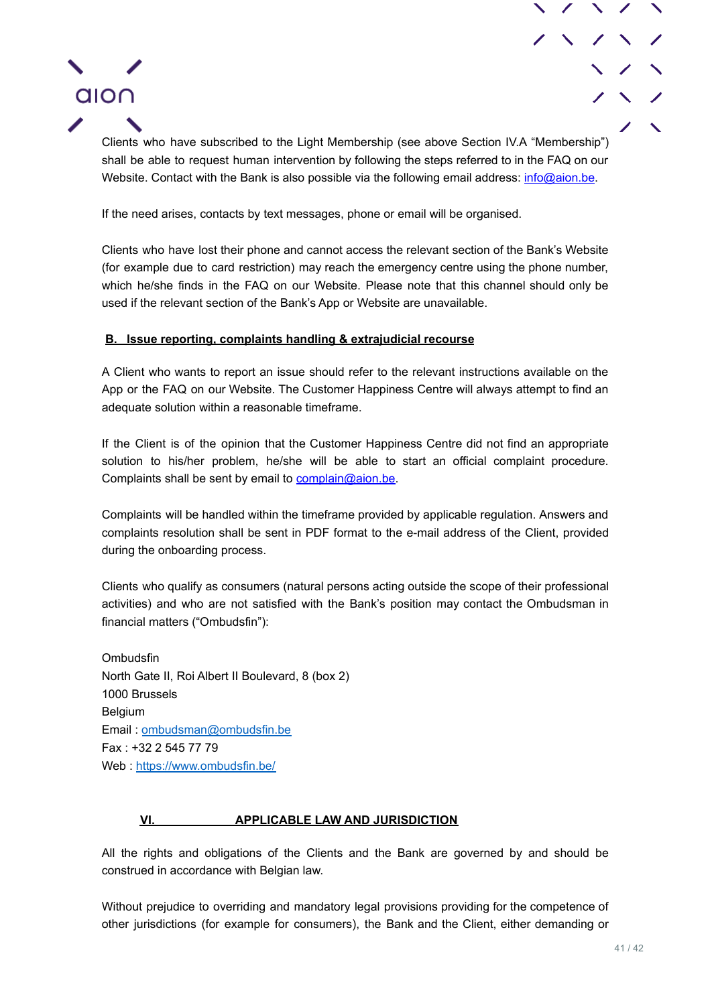



Clients who have subscribed to the Light Membership (see above Section IV.A "Membership") shall be able to request human intervention by following the steps referred to in the FAQ on our Website. Contact with the Bank is also possible via the following email address: [info@aion.be](mailto:info@aion.be).

If the need arises, contacts by text messages, phone or email will be organised.

Clients who have lost their phone and cannot access the relevant section of the Bank's Website (for example due to card restriction) may reach the emergency centre using the phone number, which he/she finds in the FAQ on our Website. Please note that this channel should only be used if the relevant section of the Bank's App or Website are unavailable.

## <span id="page-40-0"></span>**B. Issue reporting, complaints handling & extrajudicial recourse**

A Client who wants to report an issue should refer to the relevant instructions available on the App or the FAQ on our Website. The Customer Happiness Centre will always attempt to find an adequate solution within a reasonable timeframe.

If the Client is of the opinion that the Customer Happiness Centre did not find an appropriate solution to his/her problem, he/she will be able to start an official complaint procedure. Complaints shall be sent by email to [complain@aion.be.](mailto:complain@aion.be)

Complaints will be handled within the timeframe provided by applicable regulation. Answers and complaints resolution shall be sent in PDF format to the e-mail address of the Client, provided during the onboarding process.

Clients who qualify as consumers (natural persons acting outside the scope of their professional activities) and who are not satisfied with the Bank's position may contact the Ombudsman in financial matters ("Ombudsfin"):

**Ombudsfin** North Gate II, Roi Albert II Boulevard, 8 (box 2) 1000 Brussels Belgium Email : [ombudsman@ombudsfin.be](mailto:ombudsman@ombudsfin.be) Fax : +32 2 545 77 79 Web : [https://www.ombudsfin.be/](https://www.ombudsfin.be/en/individuals/introduce-complaint/)

## **VI. APPLICABLE LAW AND JURISDICTION**

<span id="page-40-1"></span>All the rights and obligations of the Clients and the Bank are governed by and should be construed in accordance with Belgian law.

Without prejudice to overriding and mandatory legal provisions providing for the competence of other jurisdictions (for example for consumers), the Bank and the Client, either demanding or